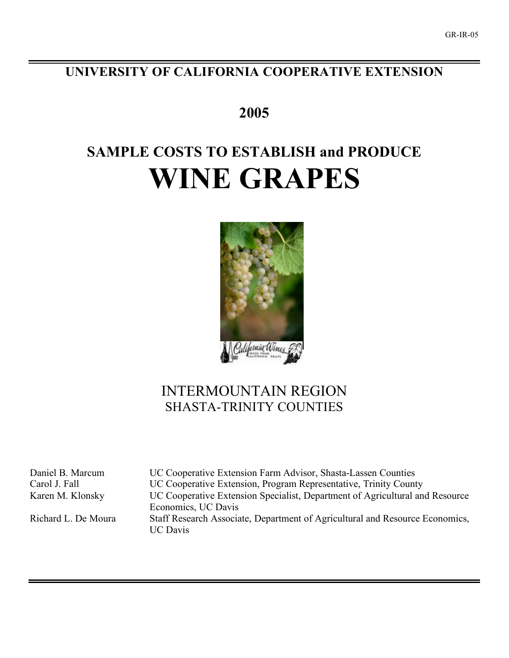## **UNIVERSITY OF CALIFORNIA COOPERATIVE EXTENSION**

**2005**

# **SAMPLE COSTS TO ESTABLISH and PRODUCE WINE GRAPES**



# INTERMOUNTAIN REGION SHASTA-TRINITY COUNTIES

Daniel B. Marcum UC Cooperative Extension Farm Advisor, Shasta-Lassen Counties Carol J. Fall UC Cooperative Extension, Program Representative, Trinity County Karen M. Klonsky UC Cooperative Extension Specialist, Department of Agricultural and Resource Economics, UC Davis Richard L. De Moura Staff Research Associate, Department of Agricultural and Resource Economics, UC Davis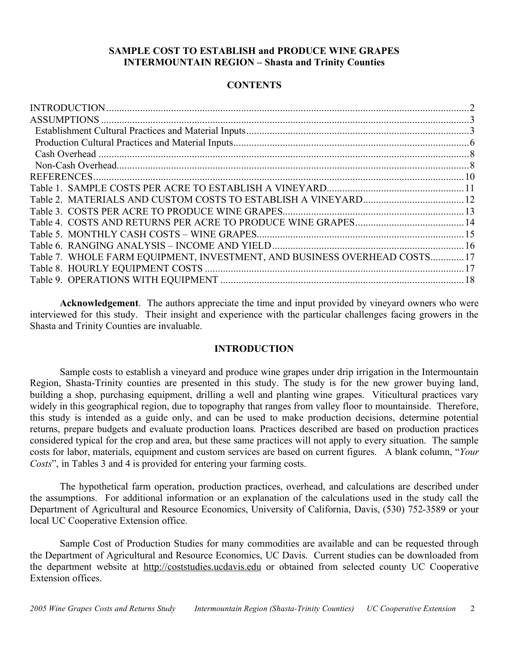## **SAMPLE COST TO ESTABLISH and PRODUCE WINE GRAPES INTERMOUNTAIN REGION – Shasta and Trinity Counties**

## **CONTENTS**

| Table 7. WHOLE FARM EQUIPMENT, INVESTMENT, AND BUSINESS OVERHEAD COSTS17 |  |
|--------------------------------------------------------------------------|--|
|                                                                          |  |
|                                                                          |  |
|                                                                          |  |

**Acknowledgement**. The authors appreciate the time and input provided by vineyard owners who were interviewed for this study. Their insight and experience with the particular challenges facing growers in the Shasta and Trinity Counties are invaluable.

## **INTRODUCTION**

Sample costs to establish a vineyard and produce wine grapes under drip irrigation in the Intermountain Region, Shasta-Trinity counties are presented in this study. The study is for the new grower buying land, building a shop, purchasing equipment, drilling a well and planting wine grapes. Viticultural practices vary widely in this geographical region, due to topography that ranges from valley floor to mountainside. Therefore, this study is intended as a guide only, and can be used to make production decisions, determine potential returns, prepare budgets and evaluate production loans. Practices described are based on production practices considered typical for the crop and area, but these same practices will not apply to every situation. The sample costs for labor, materials, equipment and custom services are based on current figures. A blank column, "*Your Costs*", in Tables 3 and 4 is provided for entering your farming costs.

The hypothetical farm operation, production practices, overhead, and calculations are described under the assumptions. For additional information or an explanation of the calculations used in the study call the Department of Agricultural and Resource Economics, University of California, Davis, (530) 752-3589 or your local UC Cooperative Extension office.

Sample Cost of Production Studies for many commodities are available and can be requested through the Department of Agricultural and Resource Economics, UC Davis. Current studies can be downloaded from the department website at http://coststudies.ucdavis.edu or obtained from selected county UC Cooperative Extension offices.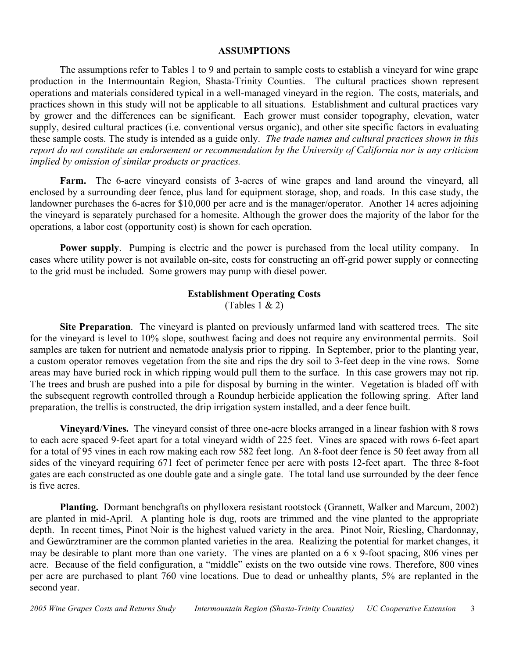### **ASSUMPTIONS**

The assumptions refer to Tables 1 to 9 and pertain to sample costs to establish a vineyard for wine grape production in the Intermountain Region, Shasta-Trinity Counties. The cultural practices shown represent operations and materials considered typical in a well-managed vineyard in the region. The costs, materials, and practices shown in this study will not be applicable to all situations. Establishment and cultural practices vary by grower and the differences can be significant. Each grower must consider topography, elevation, water supply, desired cultural practices (i.e. conventional versus organic), and other site specific factors in evaluating these sample costs. The study is intended as a guide only. *The trade names and cultural practices shown in this report do not constitute an endorsement or recommendation by the University of California nor is any criticism implied by omission of similar products or practices.*

**Farm.** The 6-acre vineyard consists of 3-acres of wine grapes and land around the vineyard, all enclosed by a surrounding deer fence, plus land for equipment storage, shop, and roads. In this case study, the landowner purchases the 6-acres for \$10,000 per acre and is the manager/operator. Another 14 acres adjoining the vineyard is separately purchased for a homesite. Although the grower does the majority of the labor for the operations, a labor cost (opportunity cost) is shown for each operation.

**Power supply**. Pumping is electric and the power is purchased from the local utility company. In cases where utility power is not available on-site, costs for constructing an off-grid power supply or connecting to the grid must be included. Some growers may pump with diesel power.

## **Establishment Operating Costs**

(Tables  $1 \& 2$ )

**Site Preparation**. The vineyard is planted on previously unfarmed land with scattered trees. The site for the vineyard is level to 10% slope, southwest facing and does not require any environmental permits. Soil samples are taken for nutrient and nematode analysis prior to ripping. In September, prior to the planting year, a custom operator removes vegetation from the site and rips the dry soil to 3-feet deep in the vine rows. Some areas may have buried rock in which ripping would pull them to the surface. In this case growers may not rip. The trees and brush are pushed into a pile for disposal by burning in the winter. Vegetation is bladed off with the subsequent regrowth controlled through a Roundup herbicide application the following spring. After land preparation, the trellis is constructed, the drip irrigation system installed, and a deer fence built.

**Vineyard**/**Vines.** The vineyard consist of three one-acre blocks arranged in a linear fashion with 8 rows to each acre spaced 9-feet apart for a total vineyard width of 225 feet. Vines are spaced with rows 6-feet apart for a total of 95 vines in each row making each row 582 feet long. An 8-foot deer fence is 50 feet away from all sides of the vineyard requiring 671 feet of perimeter fence per acre with posts 12-feet apart. The three 8-foot gates are each constructed as one double gate and a single gate. The total land use surrounded by the deer fence is five acres.

**Planting.** Dormant benchgrafts on phylloxera resistant rootstock (Grannett, Walker and Marcum, 2002) are planted in mid-April. A planting hole is dug, roots are trimmed and the vine planted to the appropriate depth. In recent times, Pinot Noir is the highest valued variety in the area. Pinot Noir, Riesling, Chardonnay, and Gewürztraminer are the common planted varieties in the area. Realizing the potential for market changes, it may be desirable to plant more than one variety. The vines are planted on a 6 x 9-foot spacing, 806 vines per acre. Because of the field configuration, a "middle" exists on the two outside vine rows. Therefore, 800 vines per acre are purchased to plant 760 vine locations. Due to dead or unhealthy plants, 5% are replanted in the second year.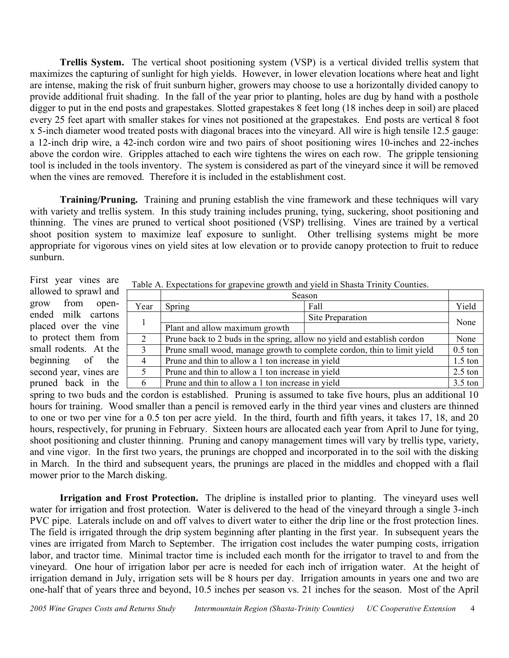**Trellis System.** The vertical shoot positioning system (VSP) is a vertical divided trellis system that maximizes the capturing of sunlight for high yields. However, in lower elevation locations where heat and light are intense, making the risk of fruit sunburn higher, growers may choose to use a horizontally divided canopy to provide additional fruit shading. In the fall of the year prior to planting, holes are dug by hand with a posthole digger to put in the end posts and grapestakes. Slotted grapestakes 8 feet long (18 inches deep in soil) are placed every 25 feet apart with smaller stakes for vines not positioned at the grapestakes. End posts are vertical 8 foot x 5-inch diameter wood treated posts with diagonal braces into the vineyard. All wire is high tensile 12.5 gauge: a 12-inch drip wire, a 42-inch cordon wire and two pairs of shoot positioning wires 10-inches and 22-inches above the cordon wire. Gripples attached to each wire tightens the wires on each row. The gripple tensioning tool is included in the tools inventory. The system is considered as part of the vineyard since it will be removed when the vines are removed. Therefore it is included in the establishment cost.

**Training/Pruning.** Training and pruning establish the vine framework and these techniques will vary with variety and trellis system. In this study training includes pruning, tying, suckering, shoot positioning and thinning. The vines are pruned to vertical shoot positioned (VSP) trellising. Vines are trained by a vertical shoot position system to maximize leaf exposure to sunlight. Other trellising systems might be more appropriate for vigorous vines on yield sites at low elevation or to provide canopy protection to fruit to reduce sunburn.

First year vines are allowed to sprawl and grow from openended milk cartons placed over the vine to protect them from small rodents. At the beginning of the second year, vines are pruned back in the

Table A. Expectations for grapevine growth and yield in Shasta Trinity Counties.

|               | Season                                                                  |                  |           |  |  |  |  |  |
|---------------|-------------------------------------------------------------------------|------------------|-----------|--|--|--|--|--|
| Year          | Spring                                                                  | Fall             | Yield     |  |  |  |  |  |
|               |                                                                         | Site Preparation | None      |  |  |  |  |  |
|               | Plant and allow maximum growth                                          |                  |           |  |  |  |  |  |
|               | Prune back to 2 buds in the spring, allow no yield and establish cordon |                  |           |  |  |  |  |  |
| $\mathcal{R}$ | Prune small wood, manage growth to complete cordon, thin to limit yield |                  | $0.5$ ton |  |  |  |  |  |
| 4             | Prune and thin to allow a 1 ton increase in yield                       |                  | $1.5$ ton |  |  |  |  |  |
|               | Prune and thin to allow a 1 ton increase in yield<br>$2.5$ ton          |                  |           |  |  |  |  |  |
| 6             | Prune and thin to allow a 1 ton increase in yield<br>$3.5 \text{ ton}$  |                  |           |  |  |  |  |  |

spring to two buds and the cordon is established. Pruning is assumed to take five hours, plus an additional 10 hours for training. Wood smaller than a pencil is removed early in the third year vines and clusters are thinned to one or two per vine for a 0.5 ton per acre yield. In the third, fourth and fifth years, it takes 17, 18, and 20 hours, respectively, for pruning in February. Sixteen hours are allocated each year from April to June for tying, shoot positioning and cluster thinning. Pruning and canopy management times will vary by trellis type, variety, and vine vigor. In the first two years, the prunings are chopped and incorporated in to the soil with the disking in March. In the third and subsequent years, the prunings are placed in the middles and chopped with a flail mower prior to the March disking.

**Irrigation and Frost Protection.** The dripline is installed prior to planting. The vineyard uses well water for irrigation and frost protection. Water is delivered to the head of the vineyard through a single 3-inch PVC pipe. Laterals include on and off valves to divert water to either the drip line or the frost protection lines. The field is irrigated through the drip system beginning after planting in the first year. In subsequent years the vines are irrigated from March to September. The irrigation cost includes the water pumping costs, irrigation labor, and tractor time. Minimal tractor time is included each month for the irrigator to travel to and from the vineyard. One hour of irrigation labor per acre is needed for each inch of irrigation water. At the height of irrigation demand in July, irrigation sets will be 8 hours per day. Irrigation amounts in years one and two are one-half that of years three and beyond, 10.5 inches per season vs. 21 inches for the season. Most of the April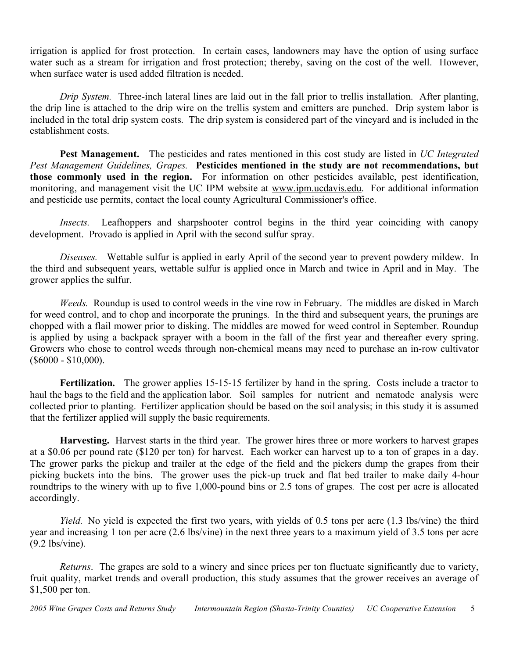irrigation is applied for frost protection. In certain cases, landowners may have the option of using surface water such as a stream for irrigation and frost protection; thereby, saving on the cost of the well. However, when surface water is used added filtration is needed.

*Drip System.* Three-inch lateral lines are laid out in the fall prior to trellis installation. After planting, the drip line is attached to the drip wire on the trellis system and emitters are punched. Drip system labor is included in the total drip system costs. The drip system is considered part of the vineyard and is included in the establishment costs.

**Pest Management.** The pesticides and rates mentioned in this cost study are listed in *UC Integrated Pest Management Guidelines, Grapes.* **Pesticides mentioned in the study are not recommendations, but those commonly used in the region.** For information on other pesticides available, pest identification, monitoring, and management visit the UC IPM website at www.ipm.ucdavis.edu. For additional information and pesticide use permits, contact the local county Agricultural Commissioner's office.

*Insects.* Leafhoppers and sharpshooter control begins in the third year coinciding with canopy development. Provado is applied in April with the second sulfur spray.

*Diseases.* Wettable sulfur is applied in early April of the second year to prevent powdery mildew. In the third and subsequent years, wettable sulfur is applied once in March and twice in April and in May. The grower applies the sulfur.

*Weeds.* Roundup is used to control weeds in the vine row in February. The middles are disked in March for weed control, and to chop and incorporate the prunings. In the third and subsequent years, the prunings are chopped with a flail mower prior to disking. The middles are mowed for weed control in September. Roundup is applied by using a backpack sprayer with a boom in the fall of the first year and thereafter every spring. Growers who chose to control weeds through non-chemical means may need to purchase an in-row cultivator (\$6000 - \$10,000).

Fertilization. The grower applies 15-15-15 fertilizer by hand in the spring. Costs include a tractor to haul the bags to the field and the application labor. Soil samples for nutrient and nematode analysis were collected prior to planting. Fertilizer application should be based on the soil analysis; in this study it is assumed that the fertilizer applied will supply the basic requirements.

**Harvesting.** Harvest starts in the third year. The grower hires three or more workers to harvest grapes at a \$0.06 per pound rate (\$120 per ton) for harvest. Each worker can harvest up to a ton of grapes in a day. The grower parks the pickup and trailer at the edge of the field and the pickers dump the grapes from their picking buckets into the bins. The grower uses the pick-up truck and flat bed trailer to make daily 4-hour roundtrips to the winery with up to five 1,000-pound bins or 2.5 tons of grapes. The cost per acre is allocated accordingly.

*Yield*. No yield is expected the first two years, with yields of 0.5 tons per acre (1.3 lbs/vine) the third year and increasing 1 ton per acre (2.6 lbs/vine) in the next three years to a maximum yield of 3.5 tons per acre (9.2 lbs/vine).

*Returns*. The grapes are sold to a winery and since prices per ton fluctuate significantly due to variety, fruit quality, market trends and overall production, this study assumes that the grower receives an average of \$1,500 per ton.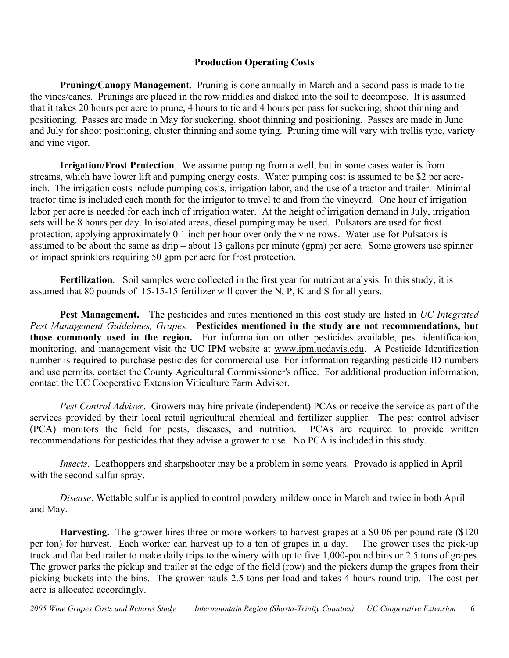## **Production Operating Costs**

**Pruning/Canopy Management**. Pruning is done annually in March and a second pass is made to tie the vines/canes. Prunings are placed in the row middles and disked into the soil to decompose. It is assumed that it takes 20 hours per acre to prune, 4 hours to tie and 4 hours per pass for suckering, shoot thinning and positioning. Passes are made in May for suckering, shoot thinning and positioning. Passes are made in June and July for shoot positioning, cluster thinning and some tying. Pruning time will vary with trellis type, variety and vine vigor.

**Irrigation/Frost Protection**. We assume pumping from a well, but in some cases water is from streams, which have lower lift and pumping energy costs. Water pumping cost is assumed to be \$2 per acreinch. The irrigation costs include pumping costs, irrigation labor, and the use of a tractor and trailer. Minimal tractor time is included each month for the irrigator to travel to and from the vineyard. One hour of irrigation labor per acre is needed for each inch of irrigation water. At the height of irrigation demand in July, irrigation sets will be 8 hours per day. In isolated areas, diesel pumping may be used. Pulsators are used for frost protection, applying approximately 0.1 inch per hour over only the vine rows. Water use for Pulsators is assumed to be about the same as drip – about 13 gallons per minute (gpm) per acre. Some growers use spinner or impact sprinklers requiring 50 gpm per acre for frost protection.

**Fertilization**. Soil samples were collected in the first year for nutrient analysis. In this study, it is assumed that 80 pounds of 15-15-15 fertilizer will cover the N, P, K and S for all years.

**Pest Management.** The pesticides and rates mentioned in this cost study are listed in *UC Integrated Pest Management Guidelines, Grapes.* **Pesticides mentioned in the study are not recommendations, but those commonly used in the region.** For information on other pesticides available, pest identification, monitoring, and management visit the UC IPM website at www.ipm.ucdavis.edu. A Pesticide Identification number is required to purchase pesticides for commercial use. For information regarding pesticide ID numbers and use permits, contact the County Agricultural Commissioner's office. For additional production information, contact the UC Cooperative Extension Viticulture Farm Advisor.

*Pest Control Adviser*. Growers may hire private (independent) PCAs or receive the service as part of the services provided by their local retail agricultural chemical and fertilizer supplier. The pest control adviser (PCA) monitors the field for pests, diseases, and nutrition. PCAs are required to provide written recommendations for pesticides that they advise a grower to use. No PCA is included in this study.

*Insects*. Leafhoppers and sharpshooter may be a problem in some years. Provado is applied in April with the second sulfur spray.

*Disease*. Wettable sulfur is applied to control powdery mildew once in March and twice in both April and May.

**Harvesting.** The grower hires three or more workers to harvest grapes at a \$0.06 per pound rate (\$120 per ton) for harvest. Each worker can harvest up to a ton of grapes in a day. The grower uses the pick-up truck and flat bed trailer to make daily trips to the winery with up to five 1,000-pound bins or 2.5 tons of grapes. The grower parks the pickup and trailer at the edge of the field (row) and the pickers dump the grapes from their picking buckets into the bins. The grower hauls 2.5 tons per load and takes 4-hours round trip. The cost per acre is allocated accordingly.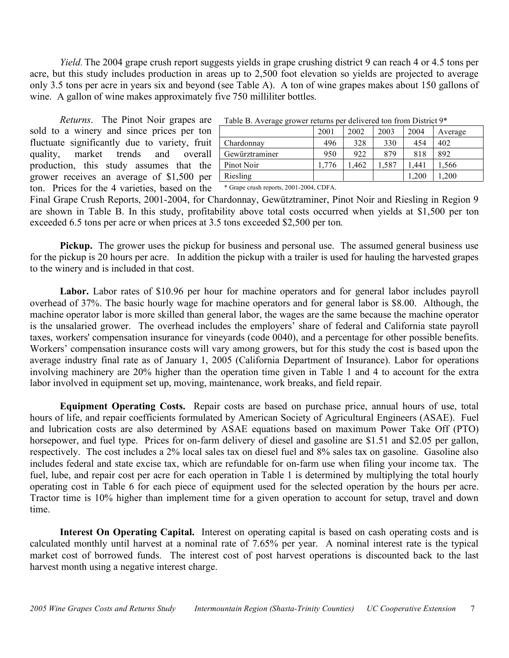*Yield*. The 2004 grape crush report suggests yields in grape crushing district 9 can reach 4 or 4.5 tons per acre, but this study includes production in areas up to 2,500 foot elevation so yields are projected to average only 3.5 tons per acre in years six and beyond (see Table A). A ton of wine grapes makes about 150 gallons of wine. A gallon of wine makes approximately five 750 milliliter bottles.

*Returns*. The Pinot Noir grapes are sold to a winery and since prices per ton fluctuate significantly due to variety, fruit quality, market trends and overall production, this study assumes that the grower receives an average of \$1,500 per ton. Prices for the 4 varieties, based on the

| Table B. Average grower returns per delivered ton from District $9*$ |       |      |      |       |         |  |  |  |  |  |  |
|----------------------------------------------------------------------|-------|------|------|-------|---------|--|--|--|--|--|--|
|                                                                      | 2001  | 2002 | 2003 | 2004  | Average |  |  |  |  |  |  |
| Chardonnay                                                           | 496   | 328  | 330  | 454   | 402     |  |  |  |  |  |  |
| Gewürztraminer                                                       | 950   | 922  | 879  | 818   | 892     |  |  |  |  |  |  |
| Pinot Noir                                                           | 1.776 | .462 | .587 | .441  | .566    |  |  |  |  |  |  |
| Riesling                                                             |       |      |      | 1.200 | .200    |  |  |  |  |  |  |

Table B. Average grower returns per delivered ton from District 9\*

\* Grape crush reports, 2001-2004, CDFA.

Final Grape Crush Reports, 2001-2004, for Chardonnay, Gewütztraminer, Pinot Noir and Riesling in Region 9 are shown in Table B. In this study, profitability above total costs occurred when yields at \$1,500 per ton exceeded 6.5 tons per acre or when prices at 3.5 tons exceeded \$2,500 per ton.

**Pickup.** The grower uses the pickup for business and personal use. The assumed general business use for the pickup is 20 hours per acre. In addition the pickup with a trailer is used for hauling the harvested grapes to the winery and is included in that cost.

Labor. Labor rates of \$10.96 per hour for machine operators and for general labor includes payroll overhead of 37%. The basic hourly wage for machine operators and for general labor is \$8.00. Although, the machine operator labor is more skilled than general labor, the wages are the same because the machine operator is the unsalaried grower. The overhead includes the employers' share of federal and California state payroll taxes, workers' compensation insurance for vineyards (code 0040), and a percentage for other possible benefits. Workers' compensation insurance costs will vary among growers, but for this study the cost is based upon the average industry final rate as of January 1, 2005 (California Department of Insurance). Labor for operations involving machinery are 20% higher than the operation time given in Table 1 and 4 to account for the extra labor involved in equipment set up, moving, maintenance, work breaks, and field repair.

**Equipment Operating Costs.** Repair costs are based on purchase price, annual hours of use, total hours of life, and repair coefficients formulated by American Society of Agricultural Engineers (ASAE). Fuel and lubrication costs are also determined by ASAE equations based on maximum Power Take Off (PTO) horsepower, and fuel type. Prices for on-farm delivery of diesel and gasoline are \$1.51 and \$2.05 per gallon, respectively. The cost includes a 2% local sales tax on diesel fuel and 8% sales tax on gasoline. Gasoline also includes federal and state excise tax, which are refundable for on-farm use when filing your income tax. The fuel, lube, and repair cost per acre for each operation in Table 1 is determined by multiplying the total hourly operating cost in Table 6 for each piece of equipment used for the selected operation by the hours per acre. Tractor time is 10% higher than implement time for a given operation to account for setup, travel and down time.

**Interest On Operating Capital.** Interest on operating capital is based on cash operating costs and is calculated monthly until harvest at a nominal rate of 7.65% per year. A nominal interest rate is the typical market cost of borrowed funds. The interest cost of post harvest operations is discounted back to the last harvest month using a negative interest charge.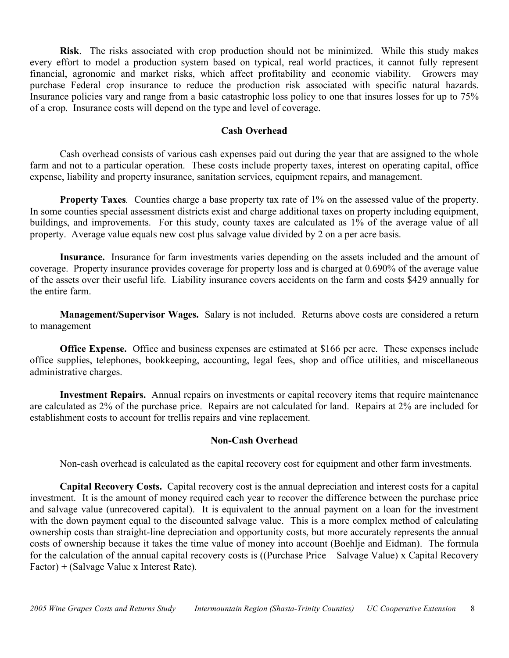**Risk**. The risks associated with crop production should not be minimized. While this study makes every effort to model a production system based on typical, real world practices, it cannot fully represent financial, agronomic and market risks, which affect profitability and economic viability. Growers may purchase Federal crop insurance to reduce the production risk associated with specific natural hazards. Insurance policies vary and range from a basic catastrophic loss policy to one that insures losses for up to 75% of a crop. Insurance costs will depend on the type and level of coverage.

## **Cash Overhead**

Cash overhead consists of various cash expenses paid out during the year that are assigned to the whole farm and not to a particular operation. These costs include property taxes, interest on operating capital, office expense, liability and property insurance, sanitation services, equipment repairs, and management.

**Property Taxes***.* Counties charge a base property tax rate of 1% on the assessed value of the property. In some counties special assessment districts exist and charge additional taxes on property including equipment, buildings, and improvements. For this study, county taxes are calculated as 1% of the average value of all property. Average value equals new cost plus salvage value divided by 2 on a per acre basis.

**Insurance.** Insurance for farm investments varies depending on the assets included and the amount of coverage. Property insurance provides coverage for property loss and is charged at 0.690% of the average value of the assets over their useful life. Liability insurance covers accidents on the farm and costs \$429 annually for the entire farm.

**Management/Supervisor Wages.** Salary is not included. Returns above costs are considered a return to management

**Office Expense.** Office and business expenses are estimated at \$166 per acre. These expenses include office supplies, telephones, bookkeeping, accounting, legal fees, shop and office utilities, and miscellaneous administrative charges.

**Investment Repairs.** Annual repairs on investments or capital recovery items that require maintenance are calculated as 2% of the purchase price. Repairs are not calculated for land. Repairs at 2% are included for establishment costs to account for trellis repairs and vine replacement.

## **Non-Cash Overhead**

Non-cash overhead is calculated as the capital recovery cost for equipment and other farm investments.

**Capital Recovery Costs.** Capital recovery cost is the annual depreciation and interest costs for a capital investment. It is the amount of money required each year to recover the difference between the purchase price and salvage value (unrecovered capital). It is equivalent to the annual payment on a loan for the investment with the down payment equal to the discounted salvage value. This is a more complex method of calculating ownership costs than straight-line depreciation and opportunity costs, but more accurately represents the annual costs of ownership because it takes the time value of money into account (Boehlje and Eidman). The formula for the calculation of the annual capital recovery costs is ((Purchase Price – Salvage Value) x Capital Recovery Factor) + (Salvage Value x Interest Rate).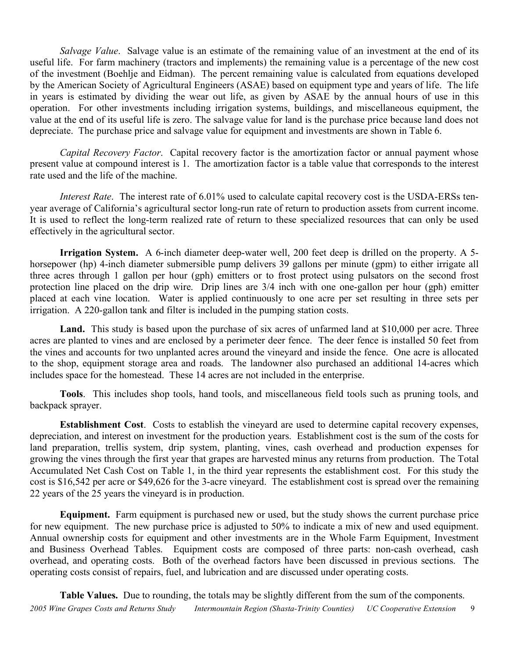*Salvage Value*. Salvage value is an estimate of the remaining value of an investment at the end of its useful life. For farm machinery (tractors and implements) the remaining value is a percentage of the new cost of the investment (Boehlje and Eidman). The percent remaining value is calculated from equations developed by the American Society of Agricultural Engineers (ASAE) based on equipment type and years of life. The life in years is estimated by dividing the wear out life, as given by ASAE by the annual hours of use in this operation. For other investments including irrigation systems, buildings, and miscellaneous equipment, the value at the end of its useful life is zero. The salvage value for land is the purchase price because land does not depreciate. The purchase price and salvage value for equipment and investments are shown in Table 6.

*Capital Recovery Factor*. Capital recovery factor is the amortization factor or annual payment whose present value at compound interest is 1. The amortization factor is a table value that corresponds to the interest rate used and the life of the machine.

*Interest Rate*. The interest rate of 6.01% used to calculate capital recovery cost is the USDA-ERSs tenyear average of California's agricultural sector long-run rate of return to production assets from current income. It is used to reflect the long-term realized rate of return to these specialized resources that can only be used effectively in the agricultural sector.

**Irrigation System.** A 6-inch diameter deep-water well, 200 feet deep is drilled on the property. A 5 horsepower (hp) 4-inch diameter submersible pump delivers 39 gallons per minute (gpm) to either irrigate all three acres through 1 gallon per hour (gph) emitters or to frost protect using pulsators on the second frost protection line placed on the drip wire. Drip lines are 3/4 inch with one one-gallon per hour (gph) emitter placed at each vine location. Water is applied continuously to one acre per set resulting in three sets per irrigation. A 220-gallon tank and filter is included in the pumping station costs.

Land. This study is based upon the purchase of six acres of unfarmed land at \$10,000 per acre. Three acres are planted to vines and are enclosed by a perimeter deer fence. The deer fence is installed 50 feet from the vines and accounts for two unplanted acres around the vineyard and inside the fence. One acre is allocated to the shop, equipment storage area and roads. The landowner also purchased an additional 14-acres which includes space for the homestead. These 14 acres are not included in the enterprise.

**Tools**. This includes shop tools, hand tools, and miscellaneous field tools such as pruning tools, and backpack sprayer.

**Establishment Cost**. Costs to establish the vineyard are used to determine capital recovery expenses, depreciation, and interest on investment for the production years. Establishment cost is the sum of the costs for land preparation, trellis system, drip system, planting, vines, cash overhead and production expenses for growing the vines through the first year that grapes are harvested minus any returns from production. The Total Accumulated Net Cash Cost on Table 1, in the third year represents the establishment cost. For this study the cost is \$16,542 per acre or \$49,626 for the 3-acre vineyard. The establishment cost is spread over the remaining 22 years of the 25 years the vineyard is in production.

**Equipment.** Farm equipment is purchased new or used, but the study shows the current purchase price for new equipment. The new purchase price is adjusted to 50% to indicate a mix of new and used equipment. Annual ownership costs for equipment and other investments are in the Whole Farm Equipment, Investment and Business Overhead Tables. Equipment costs are composed of three parts: non-cash overhead, cash overhead, and operating costs. Both of the overhead factors have been discussed in previous sections. The operating costs consist of repairs, fuel, and lubrication and are discussed under operating costs.

**Table Values.** Due to rounding, the totals may be slightly different from the sum of the components.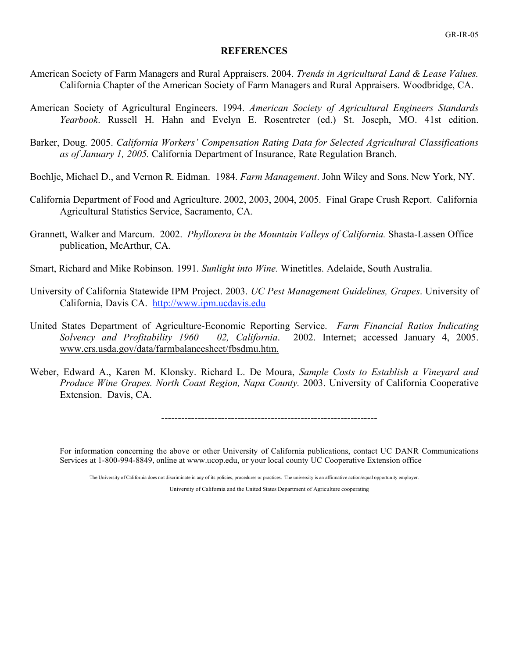#### **REFERENCES**

- American Society of Farm Managers and Rural Appraisers. 2004. *Trends in Agricultural Land & Lease Values.* California Chapter of the American Society of Farm Managers and Rural Appraisers. Woodbridge, CA.
- American Society of Agricultural Engineers. 1994. *American Society of Agricultural Engineers Standards Yearbook*. Russell H. Hahn and Evelyn E. Rosentreter (ed.) St. Joseph, MO. 41st edition.
- Barker, Doug. 2005. *California Workers' Compensation Rating Data for Selected Agricultural Classifications as of January 1, 2005.* California Department of Insurance, Rate Regulation Branch.
- Boehlje, Michael D., and Vernon R. Eidman. 1984. *Farm Management*. John Wiley and Sons. New York, NY.
- California Department of Food and Agriculture. 2002, 2003, 2004, 2005. Final Grape Crush Report. California Agricultural Statistics Service, Sacramento, CA.
- Grannett, Walker and Marcum. 2002. *Phylloxera in the Mountain Valleys of California.* Shasta-Lassen Office publication, McArthur, CA.
- Smart, Richard and Mike Robinson. 1991. *Sunlight into Wine.* Winetitles. Adelaide, South Australia.
- University of California Statewide IPM Project. 2003. *UC Pest Management Guidelines, Grapes*. University of California, Davis CA. http://www.ipm.ucdavis.edu
- United States Department of Agriculture-Economic Reporting Service. *Farm Financial Ratios Indicating Solvency and Profitability 1960 – 02, California*. 2002. Internet; accessed January 4, 2005. www.ers.usda.gov/data/farmbalancesheet/fbsdmu.htm.
- Weber, Edward A., Karen M. Klonsky. Richard L. De Moura, *Sample Costs to Establish a Vineyard and Produce Wine Grapes. North Coast Region, Napa County.* 2003. University of California Cooperative Extension. Davis, CA.

-----------------------------------------------------------------

For information concerning the above or other University of California publications, contact UC DANR Communications Services at 1-800-994-8849, online at www.ucop.edu, or your local county UC Cooperative Extension office

The University of California does not discriminate in any of its policies, procedures or practices. The university is an affirmative action/equal opportunity employer.

University of California and the United States Department of Agriculture cooperating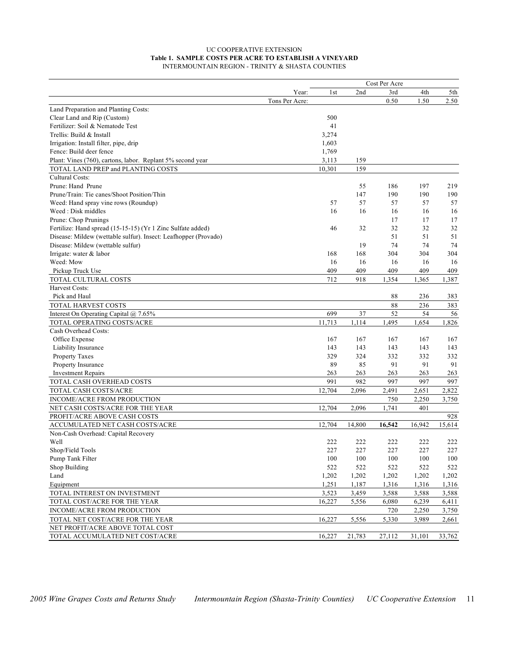#### UC COOPERATIVE EXTENSION **Table 1. SAMPLE COSTS PER ACRE TO ESTABLISH A VINEYARD** INTERMOUNTAIN REGION - TRINITY & SHASTA COUNTIES

| 2nd<br>3rd<br>4th<br>5th<br>Year:<br>1st<br>0.50<br>1.50<br>2.50<br>Tons Per Acre:<br>Land Preparation and Planting Costs:<br>Clear Land and Rip (Custom)<br>500<br>Fertilizer: Soil & Nematode Test<br>41<br>Trellis: Build & Install<br>3,274<br>Irrigation: Install filter, pipe, drip<br>1,603<br>Fence: Build deer fence<br>1,769<br>Plant: Vines (760), cartons, labor. Replant 5% second year<br>3,113<br>159<br>TOTAL LAND PREP and PLANTING COSTS<br>10,301<br>159<br>Cultural Costs:<br>197<br>Prune: Hand Prune<br>55<br>186<br>219<br>Prune/Train: Tie canes/Shoot Position/Thin<br>147<br>190<br>190<br>190<br>57<br>57<br>57<br>57<br>Weed: Hand spray vine rows (Roundup)<br>57<br>Weed: Disk middles<br>16<br>16<br>16<br>16<br>16<br>Prune: Chop Prunings<br>17<br>17<br>17<br>Fertilize: Hand spread (15-15-15) (Yr 1 Zinc Sulfate added)<br>32<br>32<br>32<br>46<br>32<br>Disease: Mildew (wettable sulfur). Insect: Leafhopper (Provado)<br>51<br>51<br>51<br>Disease: Mildew (wettable sulfur)<br>74<br>74<br>74<br>19<br>Irrigate: water & labor<br>168<br>168<br>304<br>304<br>304<br>Weed: Mow<br>16<br>16<br>16<br>16<br>16<br>409<br>409<br>409<br>409<br>409<br>Pickup Truck Use<br>TOTAL CULTURAL COSTS<br>712<br>918<br>1,354<br>1,387<br>1,365<br>Harvest Costs:<br>Pick and Haul<br>88<br>236<br>383<br>TOTAL HARVEST COSTS<br>88<br>236<br>383<br>Interest On Operating Capital @ 7.65%<br>699<br>37<br>52<br>54<br>56<br>TOTAL OPERATING COSTS/ACRE<br>11,713<br>1,114<br>1,495<br>1,654<br>1,826<br>Cash Overhead Costs:<br>Office Expense<br>167<br>167<br>167<br>167<br>167<br>Liability Insurance<br>143<br>143<br>143<br>143<br>143<br>Property Taxes<br>329<br>324<br>332<br>332<br>332<br>Property Insurance<br>89<br>85<br>91<br>91<br>91<br><b>Investment Repairs</b><br>263<br>263<br>263<br>263<br>263<br>991<br>982<br>997<br>997<br>TOTAL CASH OVERHEAD COSTS<br>997<br>12,704<br>2,651<br><b>TOTAL CASH COSTS/ACRE</b><br>2,096<br>2,491<br>2,822<br><b>INCOME/ACRE FROM PRODUCTION</b><br>750<br>2,250<br>3,750<br>12,704<br>2,096<br>1,741<br>401<br>NET CASH COSTS/ACRE FOR THE YEAR<br>PROFIT/ACRE ABOVE CASH COSTS<br>928<br>ACCUMULATED NET CASH COSTS/ACRE<br>12,704<br>16,542<br>16,942<br>15,614<br>14,800<br>Non-Cash Overhead: Capital Recovery<br>Well<br>222<br>222<br>222<br>222<br>222<br>227<br>227<br>Shop/Field Tools<br>227<br>227<br>227<br>Pump Tank Filter<br>100<br>100<br>100<br>100<br>100<br>Shop Building<br>522<br>522<br>522<br>522<br>522<br>Land<br>1,202<br>1,202<br>1,202<br>1,202<br>1,202<br>Equipment<br>1,251<br>1,316<br>1,187<br>1,316<br>1,316<br>TOTAL INTEREST ON INVESTMENT<br>3,523<br>3,459<br>3,588<br>3,588<br>3,588<br>TOTAL COST/ACRE FOR THE YEAR<br>16,227<br>5,556<br>6,080<br>6,239<br>6,411<br>INCOME/ACRE FROM PRODUCTION<br>720<br>2,250<br>3,750<br>TOTAL NET COST/ACRE FOR THE YEAR<br>16,227<br>5,556<br>5,330<br>3,989<br>2,661<br>NET PROFIT/ACRE ABOVE TOTAL COST<br>TOTAL ACCUMULATED NET COST/ACRE<br>16,227<br>21,783<br>27,112<br>31,101<br>33,762 |  | Cost Per Acre |  |
|---------------------------------------------------------------------------------------------------------------------------------------------------------------------------------------------------------------------------------------------------------------------------------------------------------------------------------------------------------------------------------------------------------------------------------------------------------------------------------------------------------------------------------------------------------------------------------------------------------------------------------------------------------------------------------------------------------------------------------------------------------------------------------------------------------------------------------------------------------------------------------------------------------------------------------------------------------------------------------------------------------------------------------------------------------------------------------------------------------------------------------------------------------------------------------------------------------------------------------------------------------------------------------------------------------------------------------------------------------------------------------------------------------------------------------------------------------------------------------------------------------------------------------------------------------------------------------------------------------------------------------------------------------------------------------------------------------------------------------------------------------------------------------------------------------------------------------------------------------------------------------------------------------------------------------------------------------------------------------------------------------------------------------------------------------------------------------------------------------------------------------------------------------------------------------------------------------------------------------------------------------------------------------------------------------------------------------------------------------------------------------------------------------------------------------------------------------------------------------------------------------------------------------------------------------------------------------------------------------------------------------------------------------------------------------------------------------------------------------------------------------------------------------------------------------------------------------------------------------------------------------------------------------------------------------------------------------------------------------------------------------------------------------------------------------------------|--|---------------|--|
|                                                                                                                                                                                                                                                                                                                                                                                                                                                                                                                                                                                                                                                                                                                                                                                                                                                                                                                                                                                                                                                                                                                                                                                                                                                                                                                                                                                                                                                                                                                                                                                                                                                                                                                                                                                                                                                                                                                                                                                                                                                                                                                                                                                                                                                                                                                                                                                                                                                                                                                                                                                                                                                                                                                                                                                                                                                                                                                                                                                                                                                                     |  |               |  |
|                                                                                                                                                                                                                                                                                                                                                                                                                                                                                                                                                                                                                                                                                                                                                                                                                                                                                                                                                                                                                                                                                                                                                                                                                                                                                                                                                                                                                                                                                                                                                                                                                                                                                                                                                                                                                                                                                                                                                                                                                                                                                                                                                                                                                                                                                                                                                                                                                                                                                                                                                                                                                                                                                                                                                                                                                                                                                                                                                                                                                                                                     |  |               |  |
|                                                                                                                                                                                                                                                                                                                                                                                                                                                                                                                                                                                                                                                                                                                                                                                                                                                                                                                                                                                                                                                                                                                                                                                                                                                                                                                                                                                                                                                                                                                                                                                                                                                                                                                                                                                                                                                                                                                                                                                                                                                                                                                                                                                                                                                                                                                                                                                                                                                                                                                                                                                                                                                                                                                                                                                                                                                                                                                                                                                                                                                                     |  |               |  |
|                                                                                                                                                                                                                                                                                                                                                                                                                                                                                                                                                                                                                                                                                                                                                                                                                                                                                                                                                                                                                                                                                                                                                                                                                                                                                                                                                                                                                                                                                                                                                                                                                                                                                                                                                                                                                                                                                                                                                                                                                                                                                                                                                                                                                                                                                                                                                                                                                                                                                                                                                                                                                                                                                                                                                                                                                                                                                                                                                                                                                                                                     |  |               |  |
|                                                                                                                                                                                                                                                                                                                                                                                                                                                                                                                                                                                                                                                                                                                                                                                                                                                                                                                                                                                                                                                                                                                                                                                                                                                                                                                                                                                                                                                                                                                                                                                                                                                                                                                                                                                                                                                                                                                                                                                                                                                                                                                                                                                                                                                                                                                                                                                                                                                                                                                                                                                                                                                                                                                                                                                                                                                                                                                                                                                                                                                                     |  |               |  |
|                                                                                                                                                                                                                                                                                                                                                                                                                                                                                                                                                                                                                                                                                                                                                                                                                                                                                                                                                                                                                                                                                                                                                                                                                                                                                                                                                                                                                                                                                                                                                                                                                                                                                                                                                                                                                                                                                                                                                                                                                                                                                                                                                                                                                                                                                                                                                                                                                                                                                                                                                                                                                                                                                                                                                                                                                                                                                                                                                                                                                                                                     |  |               |  |
|                                                                                                                                                                                                                                                                                                                                                                                                                                                                                                                                                                                                                                                                                                                                                                                                                                                                                                                                                                                                                                                                                                                                                                                                                                                                                                                                                                                                                                                                                                                                                                                                                                                                                                                                                                                                                                                                                                                                                                                                                                                                                                                                                                                                                                                                                                                                                                                                                                                                                                                                                                                                                                                                                                                                                                                                                                                                                                                                                                                                                                                                     |  |               |  |
|                                                                                                                                                                                                                                                                                                                                                                                                                                                                                                                                                                                                                                                                                                                                                                                                                                                                                                                                                                                                                                                                                                                                                                                                                                                                                                                                                                                                                                                                                                                                                                                                                                                                                                                                                                                                                                                                                                                                                                                                                                                                                                                                                                                                                                                                                                                                                                                                                                                                                                                                                                                                                                                                                                                                                                                                                                                                                                                                                                                                                                                                     |  |               |  |
|                                                                                                                                                                                                                                                                                                                                                                                                                                                                                                                                                                                                                                                                                                                                                                                                                                                                                                                                                                                                                                                                                                                                                                                                                                                                                                                                                                                                                                                                                                                                                                                                                                                                                                                                                                                                                                                                                                                                                                                                                                                                                                                                                                                                                                                                                                                                                                                                                                                                                                                                                                                                                                                                                                                                                                                                                                                                                                                                                                                                                                                                     |  |               |  |
|                                                                                                                                                                                                                                                                                                                                                                                                                                                                                                                                                                                                                                                                                                                                                                                                                                                                                                                                                                                                                                                                                                                                                                                                                                                                                                                                                                                                                                                                                                                                                                                                                                                                                                                                                                                                                                                                                                                                                                                                                                                                                                                                                                                                                                                                                                                                                                                                                                                                                                                                                                                                                                                                                                                                                                                                                                                                                                                                                                                                                                                                     |  |               |  |
|                                                                                                                                                                                                                                                                                                                                                                                                                                                                                                                                                                                                                                                                                                                                                                                                                                                                                                                                                                                                                                                                                                                                                                                                                                                                                                                                                                                                                                                                                                                                                                                                                                                                                                                                                                                                                                                                                                                                                                                                                                                                                                                                                                                                                                                                                                                                                                                                                                                                                                                                                                                                                                                                                                                                                                                                                                                                                                                                                                                                                                                                     |  |               |  |
|                                                                                                                                                                                                                                                                                                                                                                                                                                                                                                                                                                                                                                                                                                                                                                                                                                                                                                                                                                                                                                                                                                                                                                                                                                                                                                                                                                                                                                                                                                                                                                                                                                                                                                                                                                                                                                                                                                                                                                                                                                                                                                                                                                                                                                                                                                                                                                                                                                                                                                                                                                                                                                                                                                                                                                                                                                                                                                                                                                                                                                                                     |  |               |  |
|                                                                                                                                                                                                                                                                                                                                                                                                                                                                                                                                                                                                                                                                                                                                                                                                                                                                                                                                                                                                                                                                                                                                                                                                                                                                                                                                                                                                                                                                                                                                                                                                                                                                                                                                                                                                                                                                                                                                                                                                                                                                                                                                                                                                                                                                                                                                                                                                                                                                                                                                                                                                                                                                                                                                                                                                                                                                                                                                                                                                                                                                     |  |               |  |
|                                                                                                                                                                                                                                                                                                                                                                                                                                                                                                                                                                                                                                                                                                                                                                                                                                                                                                                                                                                                                                                                                                                                                                                                                                                                                                                                                                                                                                                                                                                                                                                                                                                                                                                                                                                                                                                                                                                                                                                                                                                                                                                                                                                                                                                                                                                                                                                                                                                                                                                                                                                                                                                                                                                                                                                                                                                                                                                                                                                                                                                                     |  |               |  |
|                                                                                                                                                                                                                                                                                                                                                                                                                                                                                                                                                                                                                                                                                                                                                                                                                                                                                                                                                                                                                                                                                                                                                                                                                                                                                                                                                                                                                                                                                                                                                                                                                                                                                                                                                                                                                                                                                                                                                                                                                                                                                                                                                                                                                                                                                                                                                                                                                                                                                                                                                                                                                                                                                                                                                                                                                                                                                                                                                                                                                                                                     |  |               |  |
|                                                                                                                                                                                                                                                                                                                                                                                                                                                                                                                                                                                                                                                                                                                                                                                                                                                                                                                                                                                                                                                                                                                                                                                                                                                                                                                                                                                                                                                                                                                                                                                                                                                                                                                                                                                                                                                                                                                                                                                                                                                                                                                                                                                                                                                                                                                                                                                                                                                                                                                                                                                                                                                                                                                                                                                                                                                                                                                                                                                                                                                                     |  |               |  |
|                                                                                                                                                                                                                                                                                                                                                                                                                                                                                                                                                                                                                                                                                                                                                                                                                                                                                                                                                                                                                                                                                                                                                                                                                                                                                                                                                                                                                                                                                                                                                                                                                                                                                                                                                                                                                                                                                                                                                                                                                                                                                                                                                                                                                                                                                                                                                                                                                                                                                                                                                                                                                                                                                                                                                                                                                                                                                                                                                                                                                                                                     |  |               |  |
|                                                                                                                                                                                                                                                                                                                                                                                                                                                                                                                                                                                                                                                                                                                                                                                                                                                                                                                                                                                                                                                                                                                                                                                                                                                                                                                                                                                                                                                                                                                                                                                                                                                                                                                                                                                                                                                                                                                                                                                                                                                                                                                                                                                                                                                                                                                                                                                                                                                                                                                                                                                                                                                                                                                                                                                                                                                                                                                                                                                                                                                                     |  |               |  |
|                                                                                                                                                                                                                                                                                                                                                                                                                                                                                                                                                                                                                                                                                                                                                                                                                                                                                                                                                                                                                                                                                                                                                                                                                                                                                                                                                                                                                                                                                                                                                                                                                                                                                                                                                                                                                                                                                                                                                                                                                                                                                                                                                                                                                                                                                                                                                                                                                                                                                                                                                                                                                                                                                                                                                                                                                                                                                                                                                                                                                                                                     |  |               |  |
|                                                                                                                                                                                                                                                                                                                                                                                                                                                                                                                                                                                                                                                                                                                                                                                                                                                                                                                                                                                                                                                                                                                                                                                                                                                                                                                                                                                                                                                                                                                                                                                                                                                                                                                                                                                                                                                                                                                                                                                                                                                                                                                                                                                                                                                                                                                                                                                                                                                                                                                                                                                                                                                                                                                                                                                                                                                                                                                                                                                                                                                                     |  |               |  |
|                                                                                                                                                                                                                                                                                                                                                                                                                                                                                                                                                                                                                                                                                                                                                                                                                                                                                                                                                                                                                                                                                                                                                                                                                                                                                                                                                                                                                                                                                                                                                                                                                                                                                                                                                                                                                                                                                                                                                                                                                                                                                                                                                                                                                                                                                                                                                                                                                                                                                                                                                                                                                                                                                                                                                                                                                                                                                                                                                                                                                                                                     |  |               |  |
|                                                                                                                                                                                                                                                                                                                                                                                                                                                                                                                                                                                                                                                                                                                                                                                                                                                                                                                                                                                                                                                                                                                                                                                                                                                                                                                                                                                                                                                                                                                                                                                                                                                                                                                                                                                                                                                                                                                                                                                                                                                                                                                                                                                                                                                                                                                                                                                                                                                                                                                                                                                                                                                                                                                                                                                                                                                                                                                                                                                                                                                                     |  |               |  |
|                                                                                                                                                                                                                                                                                                                                                                                                                                                                                                                                                                                                                                                                                                                                                                                                                                                                                                                                                                                                                                                                                                                                                                                                                                                                                                                                                                                                                                                                                                                                                                                                                                                                                                                                                                                                                                                                                                                                                                                                                                                                                                                                                                                                                                                                                                                                                                                                                                                                                                                                                                                                                                                                                                                                                                                                                                                                                                                                                                                                                                                                     |  |               |  |
|                                                                                                                                                                                                                                                                                                                                                                                                                                                                                                                                                                                                                                                                                                                                                                                                                                                                                                                                                                                                                                                                                                                                                                                                                                                                                                                                                                                                                                                                                                                                                                                                                                                                                                                                                                                                                                                                                                                                                                                                                                                                                                                                                                                                                                                                                                                                                                                                                                                                                                                                                                                                                                                                                                                                                                                                                                                                                                                                                                                                                                                                     |  |               |  |
|                                                                                                                                                                                                                                                                                                                                                                                                                                                                                                                                                                                                                                                                                                                                                                                                                                                                                                                                                                                                                                                                                                                                                                                                                                                                                                                                                                                                                                                                                                                                                                                                                                                                                                                                                                                                                                                                                                                                                                                                                                                                                                                                                                                                                                                                                                                                                                                                                                                                                                                                                                                                                                                                                                                                                                                                                                                                                                                                                                                                                                                                     |  |               |  |
|                                                                                                                                                                                                                                                                                                                                                                                                                                                                                                                                                                                                                                                                                                                                                                                                                                                                                                                                                                                                                                                                                                                                                                                                                                                                                                                                                                                                                                                                                                                                                                                                                                                                                                                                                                                                                                                                                                                                                                                                                                                                                                                                                                                                                                                                                                                                                                                                                                                                                                                                                                                                                                                                                                                                                                                                                                                                                                                                                                                                                                                                     |  |               |  |
|                                                                                                                                                                                                                                                                                                                                                                                                                                                                                                                                                                                                                                                                                                                                                                                                                                                                                                                                                                                                                                                                                                                                                                                                                                                                                                                                                                                                                                                                                                                                                                                                                                                                                                                                                                                                                                                                                                                                                                                                                                                                                                                                                                                                                                                                                                                                                                                                                                                                                                                                                                                                                                                                                                                                                                                                                                                                                                                                                                                                                                                                     |  |               |  |
|                                                                                                                                                                                                                                                                                                                                                                                                                                                                                                                                                                                                                                                                                                                                                                                                                                                                                                                                                                                                                                                                                                                                                                                                                                                                                                                                                                                                                                                                                                                                                                                                                                                                                                                                                                                                                                                                                                                                                                                                                                                                                                                                                                                                                                                                                                                                                                                                                                                                                                                                                                                                                                                                                                                                                                                                                                                                                                                                                                                                                                                                     |  |               |  |
|                                                                                                                                                                                                                                                                                                                                                                                                                                                                                                                                                                                                                                                                                                                                                                                                                                                                                                                                                                                                                                                                                                                                                                                                                                                                                                                                                                                                                                                                                                                                                                                                                                                                                                                                                                                                                                                                                                                                                                                                                                                                                                                                                                                                                                                                                                                                                                                                                                                                                                                                                                                                                                                                                                                                                                                                                                                                                                                                                                                                                                                                     |  |               |  |
|                                                                                                                                                                                                                                                                                                                                                                                                                                                                                                                                                                                                                                                                                                                                                                                                                                                                                                                                                                                                                                                                                                                                                                                                                                                                                                                                                                                                                                                                                                                                                                                                                                                                                                                                                                                                                                                                                                                                                                                                                                                                                                                                                                                                                                                                                                                                                                                                                                                                                                                                                                                                                                                                                                                                                                                                                                                                                                                                                                                                                                                                     |  |               |  |
|                                                                                                                                                                                                                                                                                                                                                                                                                                                                                                                                                                                                                                                                                                                                                                                                                                                                                                                                                                                                                                                                                                                                                                                                                                                                                                                                                                                                                                                                                                                                                                                                                                                                                                                                                                                                                                                                                                                                                                                                                                                                                                                                                                                                                                                                                                                                                                                                                                                                                                                                                                                                                                                                                                                                                                                                                                                                                                                                                                                                                                                                     |  |               |  |
|                                                                                                                                                                                                                                                                                                                                                                                                                                                                                                                                                                                                                                                                                                                                                                                                                                                                                                                                                                                                                                                                                                                                                                                                                                                                                                                                                                                                                                                                                                                                                                                                                                                                                                                                                                                                                                                                                                                                                                                                                                                                                                                                                                                                                                                                                                                                                                                                                                                                                                                                                                                                                                                                                                                                                                                                                                                                                                                                                                                                                                                                     |  |               |  |
|                                                                                                                                                                                                                                                                                                                                                                                                                                                                                                                                                                                                                                                                                                                                                                                                                                                                                                                                                                                                                                                                                                                                                                                                                                                                                                                                                                                                                                                                                                                                                                                                                                                                                                                                                                                                                                                                                                                                                                                                                                                                                                                                                                                                                                                                                                                                                                                                                                                                                                                                                                                                                                                                                                                                                                                                                                                                                                                                                                                                                                                                     |  |               |  |
|                                                                                                                                                                                                                                                                                                                                                                                                                                                                                                                                                                                                                                                                                                                                                                                                                                                                                                                                                                                                                                                                                                                                                                                                                                                                                                                                                                                                                                                                                                                                                                                                                                                                                                                                                                                                                                                                                                                                                                                                                                                                                                                                                                                                                                                                                                                                                                                                                                                                                                                                                                                                                                                                                                                                                                                                                                                                                                                                                                                                                                                                     |  |               |  |
|                                                                                                                                                                                                                                                                                                                                                                                                                                                                                                                                                                                                                                                                                                                                                                                                                                                                                                                                                                                                                                                                                                                                                                                                                                                                                                                                                                                                                                                                                                                                                                                                                                                                                                                                                                                                                                                                                                                                                                                                                                                                                                                                                                                                                                                                                                                                                                                                                                                                                                                                                                                                                                                                                                                                                                                                                                                                                                                                                                                                                                                                     |  |               |  |
|                                                                                                                                                                                                                                                                                                                                                                                                                                                                                                                                                                                                                                                                                                                                                                                                                                                                                                                                                                                                                                                                                                                                                                                                                                                                                                                                                                                                                                                                                                                                                                                                                                                                                                                                                                                                                                                                                                                                                                                                                                                                                                                                                                                                                                                                                                                                                                                                                                                                                                                                                                                                                                                                                                                                                                                                                                                                                                                                                                                                                                                                     |  |               |  |
|                                                                                                                                                                                                                                                                                                                                                                                                                                                                                                                                                                                                                                                                                                                                                                                                                                                                                                                                                                                                                                                                                                                                                                                                                                                                                                                                                                                                                                                                                                                                                                                                                                                                                                                                                                                                                                                                                                                                                                                                                                                                                                                                                                                                                                                                                                                                                                                                                                                                                                                                                                                                                                                                                                                                                                                                                                                                                                                                                                                                                                                                     |  |               |  |
|                                                                                                                                                                                                                                                                                                                                                                                                                                                                                                                                                                                                                                                                                                                                                                                                                                                                                                                                                                                                                                                                                                                                                                                                                                                                                                                                                                                                                                                                                                                                                                                                                                                                                                                                                                                                                                                                                                                                                                                                                                                                                                                                                                                                                                                                                                                                                                                                                                                                                                                                                                                                                                                                                                                                                                                                                                                                                                                                                                                                                                                                     |  |               |  |
|                                                                                                                                                                                                                                                                                                                                                                                                                                                                                                                                                                                                                                                                                                                                                                                                                                                                                                                                                                                                                                                                                                                                                                                                                                                                                                                                                                                                                                                                                                                                                                                                                                                                                                                                                                                                                                                                                                                                                                                                                                                                                                                                                                                                                                                                                                                                                                                                                                                                                                                                                                                                                                                                                                                                                                                                                                                                                                                                                                                                                                                                     |  |               |  |
|                                                                                                                                                                                                                                                                                                                                                                                                                                                                                                                                                                                                                                                                                                                                                                                                                                                                                                                                                                                                                                                                                                                                                                                                                                                                                                                                                                                                                                                                                                                                                                                                                                                                                                                                                                                                                                                                                                                                                                                                                                                                                                                                                                                                                                                                                                                                                                                                                                                                                                                                                                                                                                                                                                                                                                                                                                                                                                                                                                                                                                                                     |  |               |  |
|                                                                                                                                                                                                                                                                                                                                                                                                                                                                                                                                                                                                                                                                                                                                                                                                                                                                                                                                                                                                                                                                                                                                                                                                                                                                                                                                                                                                                                                                                                                                                                                                                                                                                                                                                                                                                                                                                                                                                                                                                                                                                                                                                                                                                                                                                                                                                                                                                                                                                                                                                                                                                                                                                                                                                                                                                                                                                                                                                                                                                                                                     |  |               |  |
|                                                                                                                                                                                                                                                                                                                                                                                                                                                                                                                                                                                                                                                                                                                                                                                                                                                                                                                                                                                                                                                                                                                                                                                                                                                                                                                                                                                                                                                                                                                                                                                                                                                                                                                                                                                                                                                                                                                                                                                                                                                                                                                                                                                                                                                                                                                                                                                                                                                                                                                                                                                                                                                                                                                                                                                                                                                                                                                                                                                                                                                                     |  |               |  |
|                                                                                                                                                                                                                                                                                                                                                                                                                                                                                                                                                                                                                                                                                                                                                                                                                                                                                                                                                                                                                                                                                                                                                                                                                                                                                                                                                                                                                                                                                                                                                                                                                                                                                                                                                                                                                                                                                                                                                                                                                                                                                                                                                                                                                                                                                                                                                                                                                                                                                                                                                                                                                                                                                                                                                                                                                                                                                                                                                                                                                                                                     |  |               |  |
|                                                                                                                                                                                                                                                                                                                                                                                                                                                                                                                                                                                                                                                                                                                                                                                                                                                                                                                                                                                                                                                                                                                                                                                                                                                                                                                                                                                                                                                                                                                                                                                                                                                                                                                                                                                                                                                                                                                                                                                                                                                                                                                                                                                                                                                                                                                                                                                                                                                                                                                                                                                                                                                                                                                                                                                                                                                                                                                                                                                                                                                                     |  |               |  |
|                                                                                                                                                                                                                                                                                                                                                                                                                                                                                                                                                                                                                                                                                                                                                                                                                                                                                                                                                                                                                                                                                                                                                                                                                                                                                                                                                                                                                                                                                                                                                                                                                                                                                                                                                                                                                                                                                                                                                                                                                                                                                                                                                                                                                                                                                                                                                                                                                                                                                                                                                                                                                                                                                                                                                                                                                                                                                                                                                                                                                                                                     |  |               |  |
|                                                                                                                                                                                                                                                                                                                                                                                                                                                                                                                                                                                                                                                                                                                                                                                                                                                                                                                                                                                                                                                                                                                                                                                                                                                                                                                                                                                                                                                                                                                                                                                                                                                                                                                                                                                                                                                                                                                                                                                                                                                                                                                                                                                                                                                                                                                                                                                                                                                                                                                                                                                                                                                                                                                                                                                                                                                                                                                                                                                                                                                                     |  |               |  |
|                                                                                                                                                                                                                                                                                                                                                                                                                                                                                                                                                                                                                                                                                                                                                                                                                                                                                                                                                                                                                                                                                                                                                                                                                                                                                                                                                                                                                                                                                                                                                                                                                                                                                                                                                                                                                                                                                                                                                                                                                                                                                                                                                                                                                                                                                                                                                                                                                                                                                                                                                                                                                                                                                                                                                                                                                                                                                                                                                                                                                                                                     |  |               |  |
|                                                                                                                                                                                                                                                                                                                                                                                                                                                                                                                                                                                                                                                                                                                                                                                                                                                                                                                                                                                                                                                                                                                                                                                                                                                                                                                                                                                                                                                                                                                                                                                                                                                                                                                                                                                                                                                                                                                                                                                                                                                                                                                                                                                                                                                                                                                                                                                                                                                                                                                                                                                                                                                                                                                                                                                                                                                                                                                                                                                                                                                                     |  |               |  |
|                                                                                                                                                                                                                                                                                                                                                                                                                                                                                                                                                                                                                                                                                                                                                                                                                                                                                                                                                                                                                                                                                                                                                                                                                                                                                                                                                                                                                                                                                                                                                                                                                                                                                                                                                                                                                                                                                                                                                                                                                                                                                                                                                                                                                                                                                                                                                                                                                                                                                                                                                                                                                                                                                                                                                                                                                                                                                                                                                                                                                                                                     |  |               |  |
|                                                                                                                                                                                                                                                                                                                                                                                                                                                                                                                                                                                                                                                                                                                                                                                                                                                                                                                                                                                                                                                                                                                                                                                                                                                                                                                                                                                                                                                                                                                                                                                                                                                                                                                                                                                                                                                                                                                                                                                                                                                                                                                                                                                                                                                                                                                                                                                                                                                                                                                                                                                                                                                                                                                                                                                                                                                                                                                                                                                                                                                                     |  |               |  |
|                                                                                                                                                                                                                                                                                                                                                                                                                                                                                                                                                                                                                                                                                                                                                                                                                                                                                                                                                                                                                                                                                                                                                                                                                                                                                                                                                                                                                                                                                                                                                                                                                                                                                                                                                                                                                                                                                                                                                                                                                                                                                                                                                                                                                                                                                                                                                                                                                                                                                                                                                                                                                                                                                                                                                                                                                                                                                                                                                                                                                                                                     |  |               |  |
|                                                                                                                                                                                                                                                                                                                                                                                                                                                                                                                                                                                                                                                                                                                                                                                                                                                                                                                                                                                                                                                                                                                                                                                                                                                                                                                                                                                                                                                                                                                                                                                                                                                                                                                                                                                                                                                                                                                                                                                                                                                                                                                                                                                                                                                                                                                                                                                                                                                                                                                                                                                                                                                                                                                                                                                                                                                                                                                                                                                                                                                                     |  |               |  |
|                                                                                                                                                                                                                                                                                                                                                                                                                                                                                                                                                                                                                                                                                                                                                                                                                                                                                                                                                                                                                                                                                                                                                                                                                                                                                                                                                                                                                                                                                                                                                                                                                                                                                                                                                                                                                                                                                                                                                                                                                                                                                                                                                                                                                                                                                                                                                                                                                                                                                                                                                                                                                                                                                                                                                                                                                                                                                                                                                                                                                                                                     |  |               |  |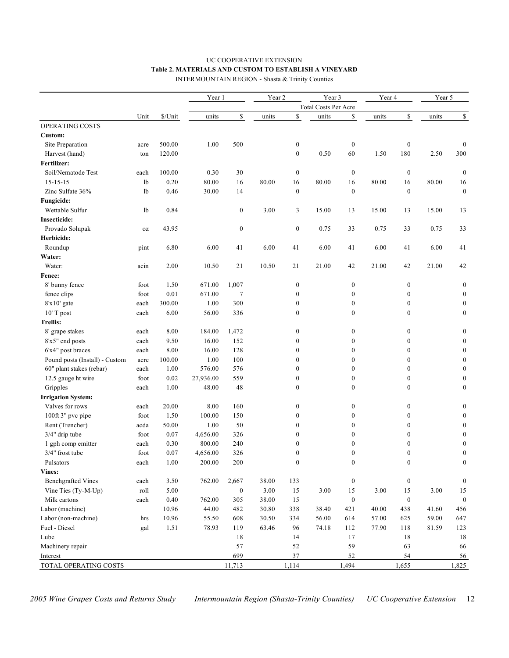## UC COOPERATIVE EXTENSION **Table 2. MATERIALS AND CUSTOM TO ESTABLISH A VINEYARD**

INTERMOUNTAIN REGION - Shasta & Trinity Counties

|                                |               |          | Year 1    |                  | Year 2 |                  | Year 3               |                  | Year 4 |                  | Year 5 |                  |
|--------------------------------|---------------|----------|-----------|------------------|--------|------------------|----------------------|------------------|--------|------------------|--------|------------------|
|                                |               |          |           |                  |        |                  | Total Costs Per Acre |                  |        |                  |        |                  |
|                                | Unit          | \$/Unit  | units     | \$               | units  | \$               | units                | \$               | units  | $\mathbb S$      | units  | \$               |
| OPERATING COSTS                |               |          |           |                  |        |                  |                      |                  |        |                  |        |                  |
| Custom:                        |               |          |           |                  |        |                  |                      |                  |        |                  |        |                  |
| Site Preparation               | acre          | 500.00   | 1.00      | 500              |        | $\boldsymbol{0}$ |                      | $\boldsymbol{0}$ |        | $\boldsymbol{0}$ |        | $\boldsymbol{0}$ |
| Harvest (hand)                 | ton           | 120.00   |           |                  |        | $\mathbf{0}$     | 0.50                 | 60               | 1.50   | 180              | 2.50   | 300              |
| Fertilizer:                    |               |          |           |                  |        |                  |                      |                  |        |                  |        |                  |
| Soil/Nematode Test             | each          | 100.00   | 0.30      | 30               |        | $\boldsymbol{0}$ |                      | $\boldsymbol{0}$ |        | $\boldsymbol{0}$ |        | $\boldsymbol{0}$ |
| $15 - 15 - 15$                 | 1b            | 0.20     | 80.00     | 16               | 80.00  | 16               | 80.00                | 16               | 80.00  | 16               | 80.00  | 16               |
| Zinc Sulfate 36%               | 1b            | 0.46     | 30.00     | 14               |        | $\boldsymbol{0}$ |                      | $\boldsymbol{0}$ |        | $\boldsymbol{0}$ |        | $\boldsymbol{0}$ |
| Fungicide:                     |               |          |           |                  |        |                  |                      |                  |        |                  |        |                  |
| Wettable Sulfur                | 1b            | 0.84     |           | $\boldsymbol{0}$ | 3.00   | 3                | 15.00                | 13               | 15.00  | 13               | 15.00  | 13               |
| <b>Insecticide:</b>            |               |          |           |                  |        |                  |                      |                  |        |                  |        |                  |
| Provado Solupak                | $0\mathrm{Z}$ | 43.95    |           | $\boldsymbol{0}$ |        | $\boldsymbol{0}$ | 0.75                 | 33               | 0.75   | 33               | 0.75   | 33               |
| Herbicide:                     |               |          |           |                  |        |                  |                      |                  |        |                  |        |                  |
| Roundup                        | pint          | 6.80     | 6.00      | 41               | 6.00   | 41               | 6.00                 | 41               | 6.00   | 41               | 6.00   | 41               |
| Water:                         |               |          |           |                  |        |                  |                      |                  |        |                  |        |                  |
| Water:                         | acin          | 2.00     | 10.50     | 21               | 10.50  | 21               | 21.00                | 42               | 21.00  | 42               | 21.00  | 42               |
| Fence:                         |               |          |           |                  |        |                  |                      |                  |        |                  |        |                  |
| 8' bunny fence                 | foot          | 1.50     | 671.00    | 1,007            |        | $\boldsymbol{0}$ |                      | $\boldsymbol{0}$ |        | $\boldsymbol{0}$ |        | $\boldsymbol{0}$ |
| fence clips                    | foot          | 0.01     | 671.00    | 7                |        | $\boldsymbol{0}$ |                      | $\boldsymbol{0}$ |        | $\boldsymbol{0}$ |        | $\mathbf{0}$     |
| $8'x10'$ gate                  | each          | 300.00   | 1.00      | 300              |        | $\boldsymbol{0}$ |                      | $\boldsymbol{0}$ |        | $\boldsymbol{0}$ |        | $\boldsymbol{0}$ |
| 10' T post                     | each          | 6.00     | 56.00     | 336              |        | $\mathbf{0}$     |                      | $\boldsymbol{0}$ |        | $\boldsymbol{0}$ |        | $\mathbf{0}$     |
| <b>Trellis:</b>                |               |          |           |                  |        |                  |                      |                  |        |                  |        |                  |
| 8' grape stakes                | each          | $8.00\,$ | 184.00    | 1,472            |        | $\boldsymbol{0}$ |                      | $\boldsymbol{0}$ |        | $\boldsymbol{0}$ |        | $\boldsymbol{0}$ |
| 8'x5" end posts                | each          | 9.50     | 16.00     | 152              |        | $\boldsymbol{0}$ |                      | $\mathbf{0}$     |        | $\boldsymbol{0}$ |        | $\boldsymbol{0}$ |
| 6'x4" post braces              | each          | $8.00\,$ | 16.00     | 128              |        | $\mathbf{0}$     |                      | $\mathbf{0}$     |        | $\boldsymbol{0}$ |        | $\boldsymbol{0}$ |
| Pound posts (Install) - Custom | acre          | 100.00   | 1.00      | 100              |        | $\mathbf{0}$     |                      | $\mathbf{0}$     |        | $\boldsymbol{0}$ |        | $\boldsymbol{0}$ |
| 60" plant stakes (rebar)       | each          | 1.00     | 576.00    | 576              |        | $\mathbf{0}$     |                      | $\theta$         |        | $\boldsymbol{0}$ |        | $\boldsymbol{0}$ |
| 12.5 gauge ht wire             | foot          | $0.02\,$ | 27,936.00 | 559              |        | $\boldsymbol{0}$ |                      | $\boldsymbol{0}$ |        | $\boldsymbol{0}$ |        | $\boldsymbol{0}$ |
| Gripples                       | each          | 1.00     | 48.00     | 48               |        | $\boldsymbol{0}$ |                      | $\boldsymbol{0}$ |        | $\boldsymbol{0}$ |        | $\boldsymbol{0}$ |
| <b>Irrigation System:</b>      |               |          |           |                  |        |                  |                      |                  |        |                  |        |                  |
| Valves for rows                | each          | 20.00    | 8.00      | 160              |        | $\boldsymbol{0}$ |                      | $\boldsymbol{0}$ |        | $\boldsymbol{0}$ |        | $\boldsymbol{0}$ |
| 100ft 3" pvc pipe              | foot          | 1.50     | 100.00    | 150              |        | $\boldsymbol{0}$ |                      | $\mathbf{0}$     |        | $\boldsymbol{0}$ |        | $\boldsymbol{0}$ |
| Rent (Trencher)                | acda          | 50.00    | 1.00      | 50               |        | $\mathbf{0}$     |                      | $\mathbf{0}$     |        | $\boldsymbol{0}$ |        | $\boldsymbol{0}$ |
| $3/4"$ drip tube               | foot          | $0.07\,$ | 4,656.00  | 326              |        | $\mathbf{0}$     |                      | $\theta$         |        | $\mathbf{0}$     |        | $\mathbf{0}$     |
| 1 gph comp emitter             | each          | 0.30     | 800.00    | 240              |        | $\mathbf{0}$     |                      | $\mathbf{0}$     |        | $\boldsymbol{0}$ |        | $\boldsymbol{0}$ |
| 3/4" frost tube                | foot          | $0.07\,$ | 4,656.00  | 326              |        | $\boldsymbol{0}$ |                      | $\boldsymbol{0}$ |        | $\boldsymbol{0}$ |        | $\boldsymbol{0}$ |
| Pulsators                      | $\mbox{each}$ | $1.00\,$ | 200.00    | $200\,$          |        | $\boldsymbol{0}$ |                      | $\boldsymbol{0}$ |        | $\boldsymbol{0}$ |        | $\boldsymbol{0}$ |
| Vines:                         |               |          |           |                  |        |                  |                      |                  |        |                  |        |                  |
| <b>Benchgrafted Vines</b>      | each          | 3.50     | 762.00    | 2,667            | 38.00  | 133              |                      | $\boldsymbol{0}$ |        | $\boldsymbol{0}$ |        | $\boldsymbol{0}$ |
| Vine Ties (Ty-M-Up)            | roll          | 5.00     |           | $\boldsymbol{0}$ | 3.00   | 15               | 3.00                 | 15               | 3.00   | 15               | 3.00   | 15               |
| Milk cartons                   | each          | 0.40     | 762.00    | 305              | 38.00  | 15               |                      | $\boldsymbol{0}$ |        | $\boldsymbol{0}$ |        | $\mathbf{0}$     |
| Labor (machine)                |               | 10.96    | 44.00     | 482              | 30.80  | 338              | 38.40                | 421              | 40.00  | 438              | 41.60  | 456              |
| Labor (non-machine)            | hrs           | 10.96    | 55.50     | 608              | 30.50  | 334              | 56.00                | 614              | 57.00  | 625              | 59.00  | 647              |
| Fuel - Diesel                  | gal           | 1.51     | 78.93     | 119              | 63.46  | 96               | 74.18                | 112              | 77.90  | 118              | 81.59  | 123              |
| Lube                           |               |          |           | 18               |        | 14               |                      | 17               |        | 18               |        | $18\,$           |
| Machinery repair               |               |          |           | 57               |        | 52               |                      | 59               |        | 63               |        | 66               |
| Interest                       |               |          |           | 699              |        | $37\,$           |                      | 52               |        | 54               |        | 56               |
|                                |               |          |           |                  |        |                  |                      |                  |        |                  |        |                  |
| TOTAL OPERATING COSTS          |               |          |           | 11,713           |        | 1,114            |                      | 1,494            |        | 1,655            |        | 1,825            |

*2005 Wine Grapes Costs and Returns Study Intermountain Region (Shasta-Trinity Counties) UC Cooperative Extension* 12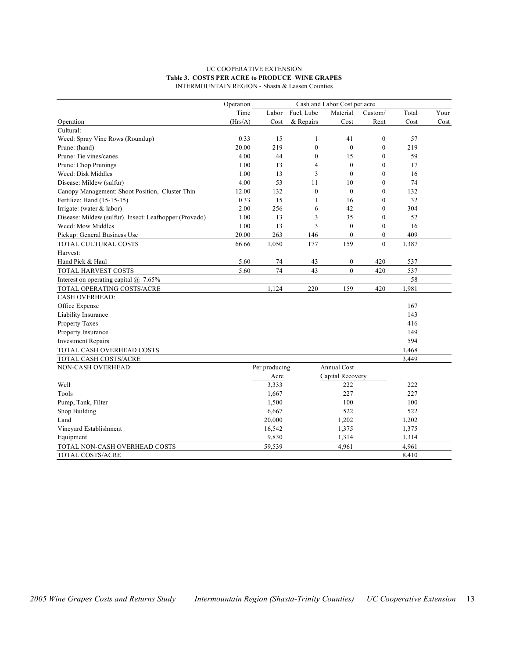#### UC COOPERATIVE EXTENSION **Table 3. COSTS PER ACRE to PRODUCE WINE GRAPES** INTERMOUNTAIN REGION - Shasta & Lassen Counties

|                                                        | Operation |               |              | Cash and Labor Cost per acre |                |       |      |
|--------------------------------------------------------|-----------|---------------|--------------|------------------------------|----------------|-------|------|
|                                                        | Time      | Labor         | Fuel, Lube   | Material                     | Custom/        | Total | Your |
| Operation                                              | (Hrs/A)   | Cost          | & Repairs    | Cost                         | Rent           | Cost  | Cost |
| Cultural:                                              |           |               |              |                              |                |       |      |
| Weed: Spray Vine Rows (Roundup)                        | 0.33      | 15            | 1            | 41                           | $\mathbf{0}$   | 57    |      |
| Prune: (hand)                                          | 20.00     | 219           | $\mathbf{0}$ | $\mathbf{0}$                 | $\mathbf{0}$   | 219   |      |
| Prune: Tie vines/canes                                 | 4.00      | 44            | $\mathbf{0}$ | 15                           | $\mathbf{0}$   | 59    |      |
| Prune: Chop Prunings                                   | 1.00      | 13            | 4            | $\mathbf{0}$                 | $\mathbf{0}$   | 17    |      |
| Weed: Disk Middles                                     | 1.00      | 13            | 3            | $\theta$                     | $\theta$       | 16    |      |
| Disease: Mildew (sulfur)                               | 4.00      | 53            | 11           | 10                           | $\mathbf{0}$   | 74    |      |
| Canopy Management: Shoot Position, Cluster Thin        | 12.00     | 132           | $\mathbf{0}$ | $\mathbf{0}$                 | $\mathbf{0}$   | 132   |      |
| Fertilize: Hand (15-15-15)                             | 0.33      | 15            | $\mathbf{1}$ | 16                           | $\theta$       | 32    |      |
| Irrigate: (water & labor)                              | 2.00      | 256           | 6            | 42                           | $\theta$       | 304   |      |
| Disease: Mildew (sulfur). Insect: Leafhopper (Provado) | 1.00      | 13            | 3            | 35                           | $\mathbf{0}$   | 52    |      |
| Weed: Mow Middles                                      | 1.00      | 13            | 3            | $\mathbf{0}$                 | $\mathbf{0}$   | 16    |      |
| Pickup: General Business Use                           | 20.00     | 263           | 146          | $\mathbf{0}$                 | $\mathbf{0}$   | 409   |      |
| TOTAL CULTURAL COSTS                                   | 66.66     | 1,050         | 177          | 159                          | $\overline{0}$ | 1,387 |      |
| Harvest:                                               |           |               |              |                              |                |       |      |
| Hand Pick & Haul                                       | 5.60      | 74            | 43           | $\boldsymbol{0}$             | 420            | 537   |      |
| TOTAL HARVEST COSTS                                    | 5.60      | 74            | 43           | $\mathbf{0}$                 | 420            | 537   |      |
| Interest on operating capital $\omega$ 7.65%           |           |               |              |                              |                | 58    |      |
| TOTAL OPERATING COSTS/ACRE                             |           | 1,124         | 220          | 159                          | 420            | 1,981 |      |
| <b>CASH OVERHEAD:</b>                                  |           |               |              |                              |                |       |      |
| Office Expense                                         |           |               |              |                              |                | 167   |      |
| Liability Insurance                                    |           |               |              |                              |                | 143   |      |
| Property Taxes                                         |           |               |              |                              |                | 416   |      |
| Property Insurance                                     |           |               |              |                              |                | 149   |      |
| <b>Investment Repairs</b>                              |           |               |              |                              |                | 594   |      |
| TOTAL CASH OVERHEAD COSTS                              |           |               |              |                              |                | 1,468 |      |
| TOTAL CASH COSTS/ACRE                                  |           |               |              |                              |                | 3,449 |      |
| NON-CASH OVERHEAD:                                     |           | Per producing |              | Annual Cost                  |                |       |      |
|                                                        |           | Acre          |              | Capital Recovery             |                |       |      |
| Well                                                   |           | 3,333         |              | 222                          |                | 222   |      |
| Tools                                                  |           | 1,667         |              | 227                          |                | 227   |      |
| Pump, Tank, Filter                                     |           | 1,500         |              | 100                          |                | 100   |      |
| Shop Building                                          |           | 6,667         |              | 522                          |                | 522   |      |
| Land                                                   |           | 20,000        |              | 1,202                        |                | 1,202 |      |
| Vineyard Establishment                                 |           | 16,542        |              | 1,375                        |                | 1,375 |      |
| Equipment                                              |           | 9,830         |              | 1,314                        |                | 1,314 |      |
| TOTAL NON-CASH OVERHEAD COSTS                          |           | 59,539        |              | 4,961                        |                | 4,961 |      |
| TOTAL COSTS/ACRE                                       |           |               |              |                              |                | 8,410 |      |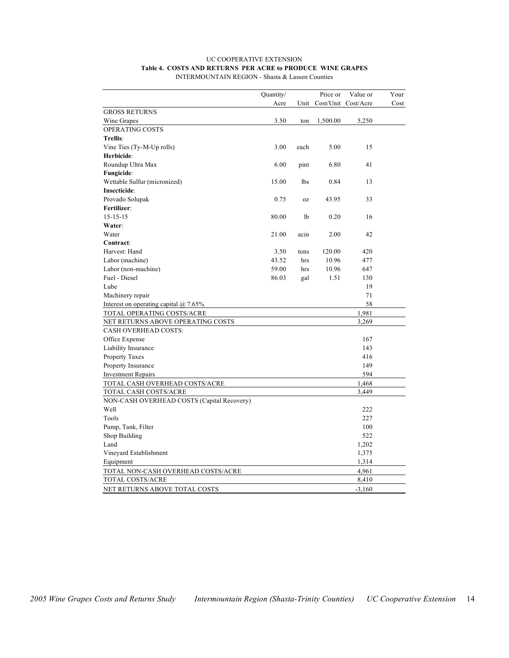#### UC COOPERATIVE EXTENSION **Table 4. COSTS AND RETURNS PER ACRE to PRODUCE WINE GRAPES** INTERMOUNTAIN REGION - Shasta & Lassen Counties

|                                              | Quantity/ |                | Price or | Value or            | Your |
|----------------------------------------------|-----------|----------------|----------|---------------------|------|
|                                              | Acre      | Unit           |          | Cost/Unit Cost/Acre | Cost |
| <b>GROSS RETURNS</b>                         |           |                |          |                     |      |
| Wine Grapes                                  | 3.50      | ton            | 1,500.00 | 5,250               |      |
| OPERATING COSTS                              |           |                |          |                     |      |
| Trellis:                                     |           |                |          |                     |      |
| Vine Ties (Ty-M-Up rolls)                    | 3.00      | each           | 5.00     | 15                  |      |
| Herbicide:                                   |           |                |          |                     |      |
| Roundup Ultra Max                            | 6.00      | pint           | 6.80     | 41                  |      |
| Fungicide:                                   |           |                |          |                     |      |
| Wettable Sulfur (micronized)                 | 15.00     | 1bs            | 0.84     | 13                  |      |
| Insecticide:                                 |           |                |          |                     |      |
| Provado Solupak                              | 0.75      | 0Z             | 43.95    | 33                  |      |
| Fertilizer:                                  |           |                |          |                     |      |
| $15 - 15 - 15$                               | 80.00     | 1 <sub>b</sub> | 0.20     | 16                  |      |
| Water:                                       |           |                |          |                     |      |
| Water                                        | 21.00     | acin           | 2.00     | 42                  |      |
| Contract:                                    |           |                |          |                     |      |
| Harvest: Hand                                | 3.50      | tons           | 120.00   | 420                 |      |
| Labor (machine)                              | 43.52     | hrs            | 10.96    | 477                 |      |
| Labor (non-machine)                          | 59.00     | hrs            | 10.96    | 647                 |      |
| Fuel - Diesel                                | 86.03     | gal            | 1.51     | 130                 |      |
| Lube                                         |           |                |          | 19                  |      |
| Machinery repair                             |           |                |          | 71                  |      |
| Interest on operating capital $\omega$ 7.65% |           |                |          | 58                  |      |
| TOTAL OPERATING COSTS/ACRE                   |           |                |          | 1,981               |      |
| NET RETURNS ABOVE OPERATING COSTS            |           |                |          | 3,269               |      |
| <b>CASH OVERHEAD COSTS:</b>                  |           |                |          |                     |      |
| Office Expense                               |           |                |          | 167                 |      |
| Liability Insurance                          |           |                |          | 143                 |      |
| Property Taxes                               |           |                |          | 416                 |      |
| Property Insurance                           |           |                |          | 149                 |      |
| <b>Investment Repairs</b>                    |           |                |          | 594                 |      |
| TOTAL CASH OVERHEAD COSTS/ACRE               |           |                |          | 1,468               |      |
| TOTAL CASH COSTS/ACRE                        |           |                |          | 3,449               |      |
| NON-CASH OVERHEAD COSTS (Capital Recovery)   |           |                |          |                     |      |
| Well                                         |           |                |          | 222                 |      |
| Tools                                        |           |                |          | 227                 |      |
| Pump, Tank, Filter                           |           |                |          | 100                 |      |
| Shop Building                                |           |                |          | 522                 |      |
| Land                                         |           |                |          | 1,202               |      |
| Vineyard Establishment                       |           |                |          | 1,375               |      |
| Equipment                                    |           |                |          | 1,314               |      |
| TOTAL NON-CASH OVERHEAD COSTS/ACRE           |           |                |          | 4,961               |      |
| TOTAL COSTS/ACRE                             |           |                |          | 8,410               |      |
| NET RETURNS ABOVE TOTAL COSTS                |           |                |          | $-3,160$            |      |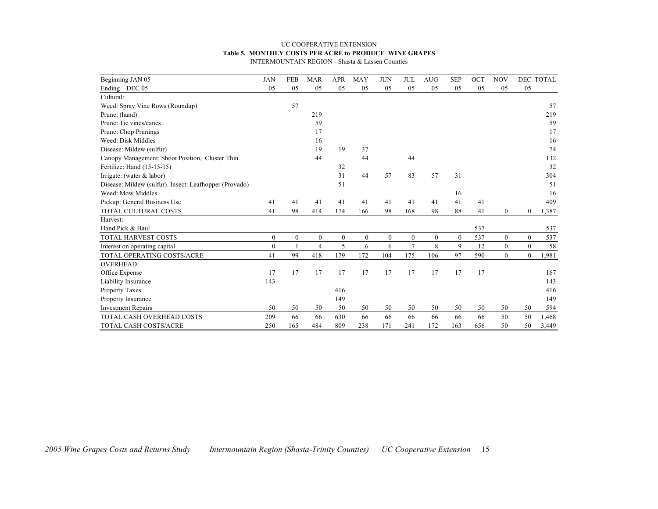#### UC COOPERATIVE EXTENSION **Table 5. MONTHLY COSTS PER ACRE to PRODUCE WINE GRAPES**

INTERMOUNTAIN REGION - Shasta & Lassen Counties

| Beginning JAN 05                                       | <b>JAN</b>       | <b>FEB</b>   | <b>MAR</b>   | <b>APR</b>   | <b>MAY</b> | <b>JUN</b> | <b>JUL</b> | <b>AUG</b>   | <b>SEP</b>   | OCT | <b>NOV</b>       |                  | DEC TOTAL |
|--------------------------------------------------------|------------------|--------------|--------------|--------------|------------|------------|------------|--------------|--------------|-----|------------------|------------------|-----------|
| Ending DEC 05                                          | 05               | 05           | 05           | 05           | 05         | 05         | 05         | 05           | 05           | 05  | 05               | 05               |           |
| Cultural:                                              |                  |              |              |              |            |            |            |              |              |     |                  |                  |           |
| Weed: Spray Vine Rows (Roundup)                        |                  | 57           |              |              |            |            |            |              |              |     |                  |                  | 57        |
| Prune: (hand)                                          |                  |              | 219          |              |            |            |            |              |              |     |                  |                  | 219       |
| Prune: Tie vines/canes                                 |                  |              | 59           |              |            |            |            |              |              |     |                  |                  | 59        |
| Prune: Chop Prunings                                   |                  |              | 17           |              |            |            |            |              |              |     |                  |                  | 17        |
| Weed: Disk Middles                                     |                  |              | 16           |              |            |            |            |              |              |     |                  |                  | 16        |
| Disease: Mildew (sulfur)                               |                  |              | 19           | 19           | 37         |            |            |              |              |     |                  |                  | 74        |
| Canopy Management: Shoot Position, Cluster Thin        |                  |              | 44           |              | 44         |            | 44         |              |              |     |                  |                  | 132       |
| Fertilize: Hand (15-15-15)                             |                  |              |              | 32           |            |            |            |              |              |     |                  |                  | 32        |
| Irrigate: (water $&$ labor)                            |                  |              |              | 31           | 44         | 57         | 83         | 57           | 31           |     |                  |                  | 304       |
| Disease: Mildew (sulfur). Insect: Leafhopper (Provado) |                  |              |              | 51           |            |            |            |              |              |     |                  |                  | 51        |
| Weed: Mow Middles                                      |                  |              |              |              |            |            |            |              | 16           |     |                  |                  | 16        |
| Pickup: General Business Use                           | 41               | 41           | 41           | 41           | 41         | 41         | 41         | 41           | 41           | 41  |                  |                  | 409       |
| TOTAL CULTURAL COSTS                                   | 41               | 98           | 414          | 174          | 166        | 98         | 168        | 98           | 88           | 41  | $\overline{0}$   | $\mathbf{0}$     | 1,387     |
| Harvest:                                               |                  |              |              |              |            |            |            |              |              |     |                  |                  |           |
| Hand Pick & Haul                                       |                  |              |              |              |            |            |            |              |              | 537 |                  |                  | 537       |
| TOTAL HARVEST COSTS                                    | $\mathbf{0}$     | $\mathbf{0}$ | $\mathbf{0}$ | $\mathbf{0}$ | $\theta$   | $\theta$   | $\theta$   | $\mathbf{0}$ | $\mathbf{0}$ | 537 | $\boldsymbol{0}$ | $\overline{0}$   | 537       |
| Interest on operating capital                          | $\boldsymbol{0}$ | $\mathbf{1}$ | 4            | 5            | 6          | 6          | $\tau$     | 8            | 9            | 12  | $\boldsymbol{0}$ | $\boldsymbol{0}$ | 58        |
| TOTAL OPERATING COSTS/ACRE                             | 41               | 99           | 418          | 179          | 172        | 104        | 175        | 106          | 97           | 590 | $\overline{0}$   | $\overline{0}$   | 1,981     |
| <b>OVERHEAD:</b>                                       |                  |              |              |              |            |            |            |              |              |     |                  |                  |           |
| Office Expense                                         | 17               | 17           | 17           | 17           | 17         | 17         | 17         | 17           | 17           | 17  |                  |                  | 167       |
| Liability Insurance                                    | 143              |              |              |              |            |            |            |              |              |     |                  |                  | 143       |
| Property Taxes                                         |                  |              |              | 416          |            |            |            |              |              |     |                  |                  | 416       |
| Property Insurance                                     |                  |              |              | 149          |            |            |            |              |              |     |                  |                  | 149       |
| <b>Investment Repairs</b>                              | 50               | 50           | 50           | 50           | 50         | 50         | 50         | 50           | 50           | 50  | 50               | 50               | 594       |
| TOTAL CASH OVERHEAD COSTS                              | 209              | 66           | 66           | 630          | 66         | 66         | 66         | 66           | 66           | 66  | 50               | 50               | 1,468     |
| TOTAL CASH COSTS/ACRE                                  | 250              | 165          | 484          | 809          | 238        | 171        | 241        | 172          | 163          | 656 | 50               | 50               | 3,449     |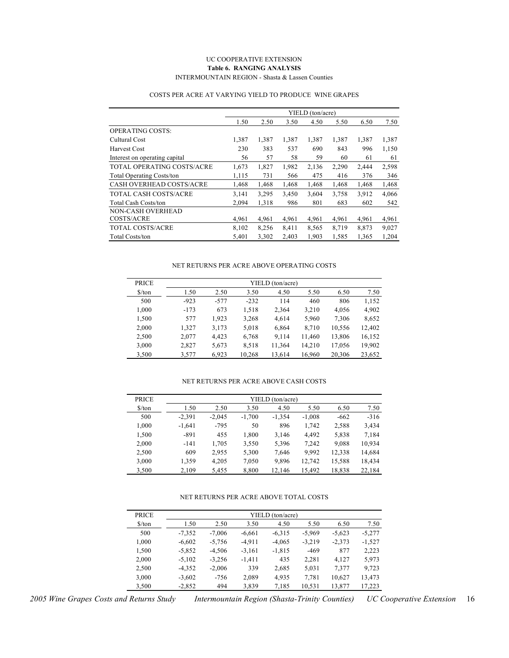#### UC COOPERATIVE EXTENSION **Table 6. RANGING ANALYSIS** INTERMOUNTAIN REGION - Shasta & Lassen Counties

|                                  |       |       |       | YIELD (ton/acre) |       |       |       |
|----------------------------------|-------|-------|-------|------------------|-------|-------|-------|
|                                  | 1.50  | 2.50  | 3.50  | 4.50             | 5.50  | 6.50  | 7.50  |
| <b>OPERATING COSTS:</b>          |       |       |       |                  |       |       |       |
| Cultural Cost                    | 1,387 | 1,387 | 1,387 | 1,387            | 1,387 | 1,387 | 1,387 |
| <b>Harvest Cost</b>              | 230   | 383   | 537   | 690              | 843   | 996   | 1,150 |
| Interest on operating capital    | 56    | 57    | 58    | 59               | 60    | 61    | 61    |
| TOTAL OPERATING COSTS/ACRE       | 1,673 | 1,827 | 1,982 | 2,136            | 2,290 | 2,444 | 2,598 |
| <b>Total Operating Costs/ton</b> | 1,115 | 731   | 566   | 475              | 416   | 376   | 346   |
| <b>CASH OVERHEAD COSTS/ACRE</b>  | 1,468 | 1,468 | 1,468 | 1,468            | 1,468 | 1,468 | 1,468 |
| <b>TOTAL CASH COSTS/ACRE</b>     | 3.141 | 3.295 | 3,450 | 3,604            | 3,758 | 3,912 | 4,066 |
| <b>Total Cash Costs/ton</b>      | 2,094 | 1,318 | 986   | 801              | 683   | 602   | 542   |
| NON-CASH OVERHEAD                |       |       |       |                  |       |       |       |
| COSTS/ACRE                       | 4.961 | 4,961 | 4,961 | 4,961            | 4,961 | 4,961 | 4,961 |
| <b>TOTAL COSTS/ACRE</b>          | 8,102 | 8,256 | 8,411 | 8,565            | 8,719 | 8,873 | 9,027 |
| <b>Total Costs/ton</b>           | 5,401 | 3,302 | 2,403 | 1,903            | 1,585 | 1,365 | 1,204 |

#### COSTS PER ACRE AT VARYING YIELD TO PRODUCE WINE GRAPES

#### NET RETURNS PER ACRE ABOVE OPERATING COSTS

| <b>PRICE</b>                  | YIELD (ton/acre) |        |        |        |        |        |        |  |  |  |  |
|-------------------------------|------------------|--------|--------|--------|--------|--------|--------|--|--|--|--|
| $\frac{\text{S}}{\text{ton}}$ | 1.50             | 2.50   | 3.50   | 4.50   | 5.50   | 6.50   | 7.50   |  |  |  |  |
| 500                           | $-923$           | $-577$ | $-232$ | 114    | 460    | 806    | 1,152  |  |  |  |  |
| 1.000                         | $-173$           | 673    | 1.518  | 2.364  | 3.210  | 4.056  | 4.902  |  |  |  |  |
| 1,500                         | 577              | 1.923  | 3,268  | 4.614  | 5,960  | 7,306  | 8,652  |  |  |  |  |
| 2.000                         | 1.327            | 3,173  | 5.018  | 6,864  | 8.710  | 10,556 | 12,402 |  |  |  |  |
| 2,500                         | 2,077            | 4,423  | 6,768  | 9.114  | 11,460 | 13,806 | 16,152 |  |  |  |  |
| 3,000                         | 2,827            | 5,673  | 8,518  | 11,364 | 14,210 | 17,056 | 19,902 |  |  |  |  |
| 3,500                         | 3,577            | 6,923  | 10,268 | 13,614 | 16,960 | 20,306 | 23,652 |  |  |  |  |

#### NET RETURNS PER ACRE ABOVE CASH COSTS

| <b>PRICE</b>                  |          | YIELD (ton/acre) |          |          |          |        |        |  |  |  |  |  |
|-------------------------------|----------|------------------|----------|----------|----------|--------|--------|--|--|--|--|--|
| $\frac{\text{S}}{\text{ton}}$ | 1.50     | 2.50             | 3.50     | 4.50     | 5.50     | 6.50   | 7.50   |  |  |  |  |  |
| 500                           | $-2,391$ | $-2,045$         | $-1,700$ | $-1,354$ | $-1,008$ | $-662$ | $-316$ |  |  |  |  |  |
| 1,000                         | $-1,641$ | $-795$           | 50       | 896      | 1,742    | 2,588  | 3,434  |  |  |  |  |  |
| 1,500                         | $-891$   | 455              | 1,800    | 3,146    | 4.492    | 5,838  | 7,184  |  |  |  |  |  |
| 2,000                         | $-141$   | 1,705            | 3,550    | 5,396    | 7,242    | 9,088  | 10,934 |  |  |  |  |  |
| 2,500                         | 609      | 2.955            | 5,300    | 7.646    | 9.992    | 12,338 | 14,684 |  |  |  |  |  |
| 3,000                         | 1,359    | 4.205            | 7,050    | 9.896    | 12.742   | 15,588 | 18,434 |  |  |  |  |  |
| 3,500                         | 2,109    | 5,455            | 8,800    | 12,146   | 15,492   | 18,838 | 22,184 |  |  |  |  |  |

#### NET RETURNS PER ACRE ABOVE TOTAL COSTS

| <b>PRICE</b>                  |          | YIELD (ton/acre) |          |          |          |          |          |  |  |  |  |  |  |
|-------------------------------|----------|------------------|----------|----------|----------|----------|----------|--|--|--|--|--|--|
| $\frac{\text{S}}{\text{ton}}$ | 1.50     | 2.50             | 3.50     | 4.50     | 5.50     | 6.50     | 7.50     |  |  |  |  |  |  |
| 500                           | $-7.352$ | $-7.006$         | $-6,661$ | $-6,315$ | $-5.969$ | $-5,623$ | $-5.277$ |  |  |  |  |  |  |
| 1,000                         | $-6,602$ | $-5,756$         | $-4.911$ | $-4,065$ | $-3,219$ | $-2,373$ | $-1,527$ |  |  |  |  |  |  |
| 1,500                         | $-5,852$ | $-4.506$         | $-3,161$ | $-1,815$ | $-469$   | 877      | 2,223    |  |  |  |  |  |  |
| 2,000                         | $-5,102$ | $-3,256$         | $-1,411$ | 435      | 2.281    | 4,127    | 5,973    |  |  |  |  |  |  |
| 2,500                         | $-4,352$ | $-2,006$         | 339      | 2,685    | 5,031    | 7,377    | 9,723    |  |  |  |  |  |  |
| 3,000                         | $-3,602$ | -756             | 2,089    | 4,935    | 7,781    | 10,627   | 13,473   |  |  |  |  |  |  |
| 3,500                         | $-2,852$ | 494              | 3,839    | 7,185    | 10,531   | 13,877   | 17,223   |  |  |  |  |  |  |

*2005 Wine Grapes Costs and Returns Study Intermountain Region (Shasta-Trinity Counties) UC Cooperative Extension* 16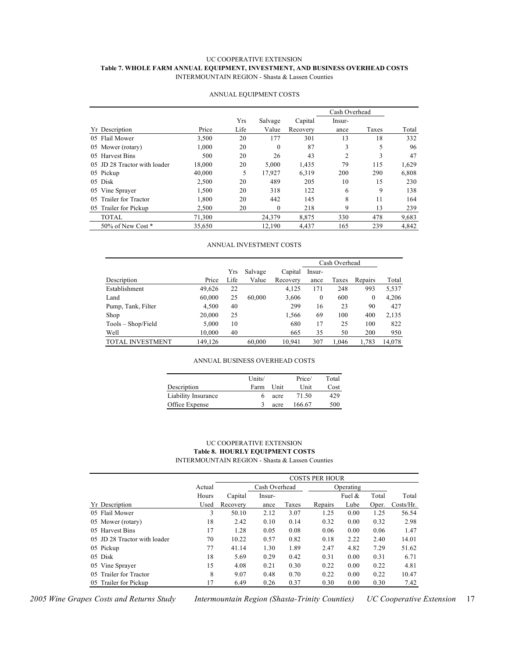#### UC COOPERATIVE EXTENSION **Table 7. WHOLE FARM ANNUAL EQUIPMENT, INVESTMENT, AND BUSINESS OVERHEAD COSTS** INTERMOUNTAIN REGION - Shasta & Lassen Counties

|                              |        |      |          |          | Cash Overhead  |       |       |
|------------------------------|--------|------|----------|----------|----------------|-------|-------|
|                              |        | Yrs  | Salvage  | Capital  | Insur-         |       |       |
| Yr Description               | Price  | Life | Value    | Recovery | ance           | Taxes | Total |
| 05 Flail Mower               | 3,500  | 20   | 177      | 301      | 13             | 18    | 332   |
| Mower (rotary)<br>05         | 1.000  | 20   | $\theta$ | 87       | 3              | 5     | 96    |
| <b>Harvest Bins</b><br>05    | 500    | 20   | 26       | 43       | $\overline{c}$ | 3     | 47    |
| 05 JD 28 Tractor with loader | 18,000 | 20   | 5,000    | 1,435    | 79             | 115   | 1,629 |
| 05 Pickup                    | 40,000 | 5    | 17,927   | 6,319    | 200            | 290   | 6,808 |
| 05 Disk                      | 2,500  | 20   | 489      | 205      | 10             | 15    | 230   |
| Vine Sprayer<br>05           | 1,500  | 20   | 318      | 122      | 6              | 9     | 138   |
| Trailer for Tractor<br>05    | 1,800  | 20   | 442      | 145      | 8              | 11    | 164   |
| 05 Trailer for Pickup        | 2.500  | 20   | 0        | 218      | 9              | 13    | 239   |
| <b>TOTAL</b>                 | 71,300 |      | 24,379   | 8,875    | 330            | 478   | 9,683 |
| 50% of New Cost *            | 35,650 |      | 12,190   | 4,437    | 165            | 239   | 4,842 |

#### ANNUAL EQUIPMENT COSTS

#### ANNUAL INVESTMENT COSTS

|                         |         |      |         |          | Cash Overhead |       |         |        |
|-------------------------|---------|------|---------|----------|---------------|-------|---------|--------|
|                         |         | Yrs  | Salvage | Capital  | Insur-        |       |         |        |
| Description             | Price   | Life | Value   | Recovery | ance          | Taxes | Repairs | Total  |
| Establishment           | 49,626  | 22   |         | 4,125    | 171           | 248   | 993     | 5,537  |
| Land                    | 60,000  | 25   | 60,000  | 3,606    | 0             | 600   | 0       | 4,206  |
| Pump, Tank, Filter      | 4,500   | 40   |         | 299      | 16            | 23    | 90      | 427    |
| Shop                    | 20,000  | 25   |         | 1,566    | 69            | 100   | 400     | 2,135  |
| $Tools - Shop/Field$    | 5,000   | 10   |         | 680      | 17            | 25    | 100     | 822    |
| Well                    | 10.000  | 40   |         | 665      | 35            | 50    | 200     | 950    |
| <b>TOTAL INVESTMENT</b> | 149,126 |      | 60,000  | 10,941   | 307           | 1.046 | 1,783   | 14,078 |

#### ANNUAL BUSINESS OVERHEAD COSTS

|                     | Units/ |      | Price/ | Total |
|---------------------|--------|------|--------|-------|
| Description         | Farm   | Unit | Unit   | Cost  |
| Liability Insurance |        | acre | 71.50  | 429   |
| Office Expense      |        | acre | 166.67 | 500   |

#### UC COOPERATIVE EXTENSION **Table 8. HOURLY EQUIPMENT COSTS** INTERMOUNTAIN REGION - Shasta & Lassen Counties

|                              |        | <b>COSTS PER HOUR</b> |               |       |           |           |       |           |  |
|------------------------------|--------|-----------------------|---------------|-------|-----------|-----------|-------|-----------|--|
|                              | Actual |                       | Cash Overhead |       | Operating |           |       |           |  |
|                              | Hours  | Capital               | Insur-        |       |           | Fuel $\&$ | Total | Total     |  |
| Yr Description               | Used   | Recovery              | ance          | Taxes | Repairs   | Lube      | Oper. | Costs/Hr. |  |
| 05 Flail Mower               | 3      | 50.10                 | 2.12          | 3.07  | 1.25      | 0.00      | 1.25  | 56.54     |  |
| 05 Mower (rotary)            | 18     | 2.42                  | 0.10          | 0.14  | 0.32      | 0.00      | 0.32  | 2.98      |  |
| 05 Harvest Bins              | 17     | 1.28                  | 0.05          | 0.08  | 0.06      | 0.00      | 0.06  | 1.47      |  |
| 05 JD 28 Tractor with loader | 70     | 10.22                 | 0.57          | 0.82  | 0.18      | 2.22      | 2.40  | 14.01     |  |
| 05 Pickup                    | 77     | 41.14                 | 1.30          | 1.89  | 2.47      | 4.82      | 7.29  | 51.62     |  |
| 05 Disk                      | 18     | 5.69                  | 0.29          | 0.42  | 0.31      | 0.00      | 0.31  | 6.71      |  |
| Vine Sprayer<br>05           | 15     | 4.08                  | 0.21          | 0.30  | 0.22      | 0.00      | 0.22  | 4.81      |  |
| Trailer for Tractor<br>05    | 8      | 9.07                  | 0.48          | 0.70  | 0.22      | 0.00      | 0.22  | 10.47     |  |
| Trailer for Pickup<br>05     | 17     | 6.49                  | 0.26          | 0.37  | 0.30      | 0.00      | 0.30  | 7.42      |  |

*2005 Wine Grapes Costs and Returns Study Intermountain Region (Shasta-Trinity Counties) UC Cooperative Extension* 17